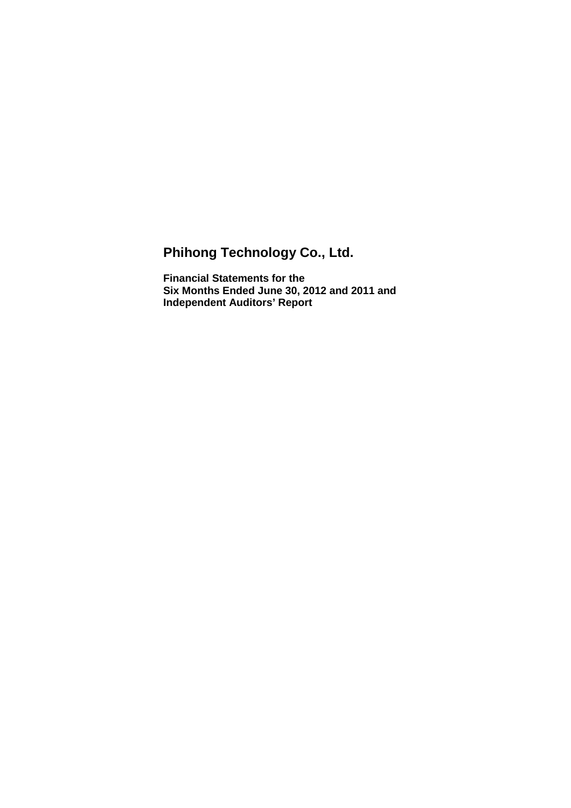# **Phihong Technology Co., Ltd.**

**Financial Statements for the Six Months Ended June 30, 2012 and 2011 and Independent Auditors' Report**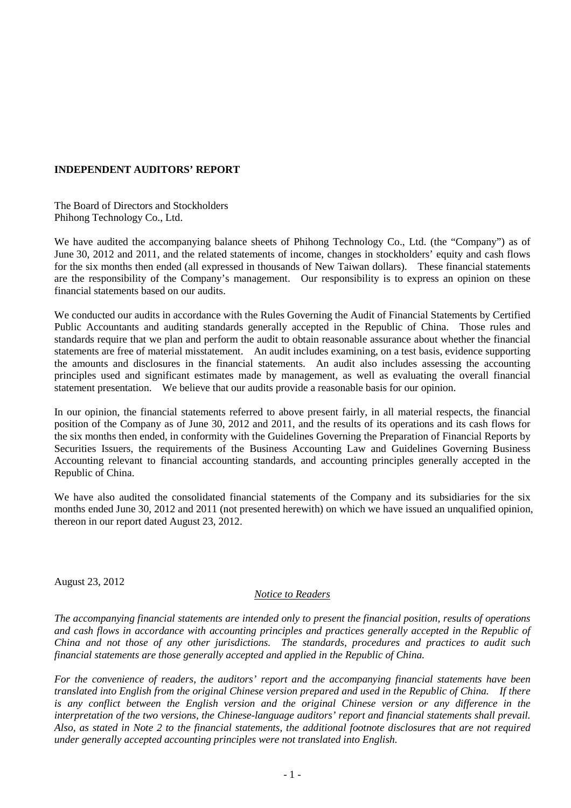## **INDEPENDENT AUDITORS' REPORT**

The Board of Directors and Stockholders Phihong Technology Co., Ltd.

We have audited the accompanying balance sheets of Phihong Technology Co., Ltd. (the "Company") as of June 30, 2012 and 2011, and the related statements of income, changes in stockholders' equity and cash flows for the six months then ended (all expressed in thousands of New Taiwan dollars). These financial statements are the responsibility of the Company's management. Our responsibility is to express an opinion on these financial statements based on our audits.

We conducted our audits in accordance with the Rules Governing the Audit of Financial Statements by Certified Public Accountants and auditing standards generally accepted in the Republic of China. Those rules and standards require that we plan and perform the audit to obtain reasonable assurance about whether the financial statements are free of material misstatement. An audit includes examining, on a test basis, evidence supporting the amounts and disclosures in the financial statements. An audit also includes assessing the accounting principles used and significant estimates made by management, as well as evaluating the overall financial statement presentation. We believe that our audits provide a reasonable basis for our opinion.

In our opinion, the financial statements referred to above present fairly, in all material respects, the financial position of the Company as of June 30, 2012 and 2011, and the results of its operations and its cash flows for the six months then ended, in conformity with the Guidelines Governing the Preparation of Financial Reports by Securities Issuers, the requirements of the Business Accounting Law and Guidelines Governing Business Accounting relevant to financial accounting standards, and accounting principles generally accepted in the Republic of China.

We have also audited the consolidated financial statements of the Company and its subsidiaries for the six months ended June 30, 2012 and 2011 (not presented herewith) on which we have issued an unqualified opinion, thereon in our report dated August 23, 2012.

August 23, 2012

#### *Notice to Readers*

*The accompanying financial statements are intended only to present the financial position, results of operations and cash flows in accordance with accounting principles and practices generally accepted in the Republic of China and not those of any other jurisdictions. The standards, procedures and practices to audit such financial statements are those generally accepted and applied in the Republic of China.* 

*For the convenience of readers, the auditors' report and the accompanying financial statements have been translated into English from the original Chinese version prepared and used in the Republic of China. If there is any conflict between the English version and the original Chinese version or any difference in the interpretation of the two versions, the Chinese-language auditors' report and financial statements shall prevail. Also, as stated in Note 2 to the financial statements, the additional footnote disclosures that are not required under generally accepted accounting principles were not translated into English.*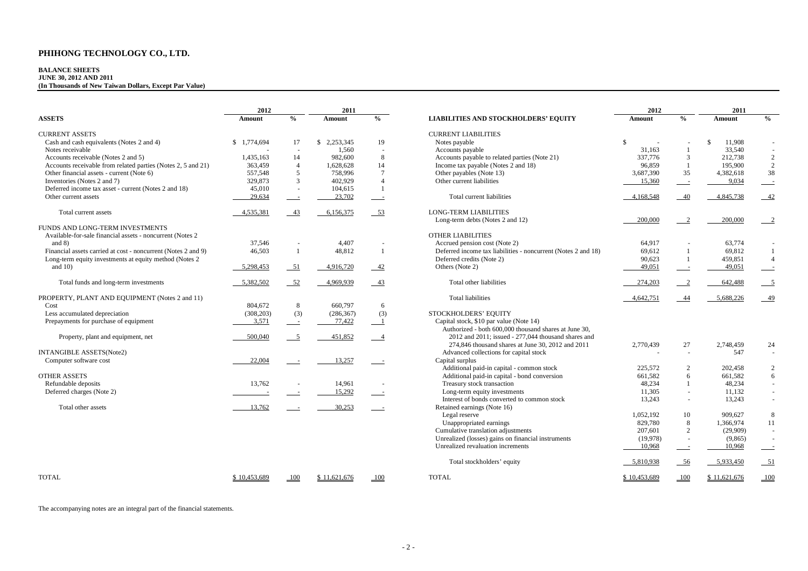#### **BALANCE SHEETS JUNE 30, 2012 AND 2011 (In Thousands of New Taiwan Dollars, Except Par Value)**

|                                                               | 2012         |                          | 2011         |                          |                                                               | 2012          |                | 2011         |                |
|---------------------------------------------------------------|--------------|--------------------------|--------------|--------------------------|---------------------------------------------------------------|---------------|----------------|--------------|----------------|
| <b>ASSETS</b>                                                 | Amount       | $\frac{0}{0}$            | Amount       | $\%$                     | <b>LIABILITIES AND STOCKHOLDERS' EQUITY</b>                   | Amount        | $\frac{0}{0}$  | Amount       | $\frac{0}{0}$  |
| <b>CURRENT ASSETS</b>                                         |              |                          |              |                          | <b>CURRENT LIABILITIES</b>                                    |               |                |              |                |
| Cash and cash equivalents (Notes 2 and 4)                     | \$1,774,694  | 17                       | \$2.253,345  | 19                       | Notes payable                                                 | $\mathcal{S}$ |                | 11,908       |                |
| Notes receivable                                              |              | $\overline{a}$           | 1.560        | ä,                       | Accounts payable                                              | 31,163        |                | 33,540       |                |
| Accounts receivable (Notes 2 and 5)                           | 1,435,163    | 14                       | 982,600      | 8                        | Accounts payable to related parties (Note 21)                 | 337,776       | 3              | 212,738      | 2              |
| Accounts receivable from related parties (Notes 2, 5 and 21)  | 363,459      | $\overline{4}$           | 1,628,628    | 14                       | Income tax payable (Notes 2 and 18)                           | 96,859        | - 1            | 195,900      | $\overline{2}$ |
| Other financial assets - current (Note 6)                     | 557,548      | 5                        | 758,996      | $7\phantom{.0}$          | Other payables (Note 13)                                      | 3,687,390     | 35             | 4,382,618    | 38             |
| Inventories (Notes 2 and 7)                                   | 329,873      | 3                        | 402,929      | $\Delta$                 | Other current liabilities                                     | 15,360        | $\sim$ $-$     | 9,034        |                |
| Deferred income tax asset - current (Notes 2 and 18)          | 45,010       | $\overline{\phantom{a}}$ | 104,615      |                          |                                                               |               |                |              |                |
| Other current assets                                          | 29,634       | $\sim$ 10 $\pm$          | 23,702       | $\sim 10^{-10}$          | Total current liabilities                                     | 4,168,548     | 40             | 4,845,738    | $-42$          |
| Total current assets                                          | 4,535,381    | 43                       | 6,156,375    | 53                       | LONG-TERM LIABILITIES                                         |               |                |              |                |
| FUNDS AND LONG-TERM INVESTMENTS                               |              |                          |              |                          | Long-term debts (Notes 2 and 12)                              | 200,000       | $\overline{2}$ | 200,000      | $\overline{2}$ |
| Available-for-sale financial assets - noncurrent (Notes 2)    |              |                          |              |                          | <b>OTHER LIABILITIES</b>                                      |               |                |              |                |
| and $8$ )                                                     | 37.546       | $\overline{\phantom{a}}$ | 4,407        |                          | Accrued pension cost (Note 2)                                 | 64.917        |                | 63.774       |                |
| Financial assets carried at cost - noncurrent (Notes 2 and 9) | 46,503       |                          | 48,812       |                          | Deferred income tax liabilities - noncurrent (Notes 2 and 18) | 69,612        | $\mathbf{1}$   | 69,812       | -1             |
| Long-term equity investments at equity method (Notes 2)       |              |                          |              |                          | Deferred credits (Note 2)                                     | 90,623        | - 1            | 459,851      | $\overline{4}$ |
| and $10$ )                                                    | 5,298,453    | $-51$                    | 4,916,720    | $-42$                    | Others (Note 2)                                               | 49,051        | $\sim$         | 49,051       |                |
| Total funds and long-term investments                         | 5,382,502    | $-52$                    | 4,969,939    | $-43$                    | Total other liabilities                                       | 274,203       |                | 642,488      |                |
| PROPERTY, PLANT AND EQUIPMENT (Notes 2 and 11)                |              |                          |              |                          | <b>Total liabilities</b>                                      | 4,642,751     | 44             | 5,688,226    | $-49$          |
| Cost                                                          | 804,672      | 8                        | 660,797      | 6                        |                                                               |               |                |              |                |
| Less accumulated depreciation                                 | (308, 203)   | (3)                      | (286, 367)   | (3)                      | STOCKHOLDERS' EQUITY                                          |               |                |              |                |
| Prepayments for purchase of equipment                         | 3,571        | $\sim$ $\sim$            | 77,422       | $\overline{\phantom{a}}$ | Capital stock, \$10 par value (Note 14)                       |               |                |              |                |
|                                                               |              |                          |              |                          | Authorized - both 600,000 thousand shares at June 30,         |               |                |              |                |
| Property, plant and equipment, net                            | 500,040      | $\overline{5}$           | 451,852      | $\overline{4}$           | 2012 and 2011; issued - 277,044 thousand shares and           |               |                |              |                |
|                                                               |              |                          |              |                          | 274,846 thousand shares at June 30, 2012 and 2011             | 2,770,439     | 27             | 2,748,459    | 24             |
| <b>INTANGIBLE ASSETS(Note2)</b>                               |              |                          |              |                          | Advanced collections for capital stock                        |               |                | 547          | $\sim$         |
| Computer software cost                                        | 22,004       |                          | 13,257       | $\sim$ 100 $\pm$         | Capital surplus                                               |               |                |              |                |
|                                                               |              |                          |              |                          | Additional paid-in capital - common stock                     | 225,572       | $\overline{2}$ | 202,458      | $\overline{c}$ |
| <b>OTHER ASSETS</b>                                           |              |                          |              |                          | Additional paid-in capital - bond conversion                  | 661,582       | 6              | 661,582      | 6              |
| Refundable deposits                                           | 13,762       |                          | 14,961       |                          | Treasury stock transaction                                    | 48,234        | $\mathbf{1}$   | 48,234       |                |
| Deferred charges (Note 2)                                     |              |                          | 15,292       |                          | Long-term equity investments                                  | 11,305        |                | 11,132       |                |
|                                                               |              |                          |              |                          | Interest of bonds converted to common stock                   | 13,243        |                | 13,243       |                |
| Total other assets                                            | 13,762       |                          | 30,253       |                          | Retained earnings (Note 16)                                   |               |                |              |                |
|                                                               |              |                          |              |                          | Legal reserve                                                 | 1,052,192     | 10             | 909,627      | 8              |
|                                                               |              |                          |              |                          | Unappropriated earnings                                       | 829,780       | 8              | 1,366,974    | 11             |
|                                                               |              |                          |              |                          | Cumulative translation adjustments                            | 207.601       | 2              | (29,909)     | $\sim$         |
|                                                               |              |                          |              |                          | Unrealized (losses) gains on financial instruments            | (19,978)      |                | (9,865)      |                |
|                                                               |              |                          |              |                          | Unrealized revaluation increments                             | 10,968        | $\sim$         | 10,968       |                |
|                                                               |              |                          |              |                          | Total stockholders' equity                                    | 5,810,938     | - 56           | 5,933,450    | $-51$          |
| <b>TOTAL</b>                                                  | \$10,453,689 | $-100$                   | \$11,621,676 | 100                      | <b>TOTAL</b>                                                  | \$10,453,689  | 100            | \$11,621,676 | 100            |

The accompanying notes are an integral part of the financial statements.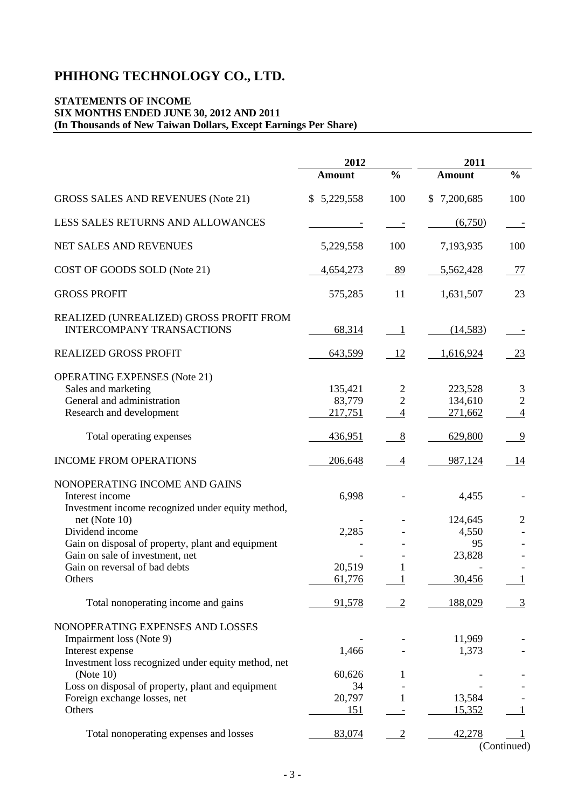# **STATEMENTS OF INCOME SIX MONTHS ENDED JUNE 30, 2012 AND 2011 (In Thousands of New Taiwan Dollars, Except Earnings Per Share)**

|                                                                                                                                                                                                                                                                                 | 2012                                    |                                                         | 2011                                                |                                        |  |
|---------------------------------------------------------------------------------------------------------------------------------------------------------------------------------------------------------------------------------------------------------------------------------|-----------------------------------------|---------------------------------------------------------|-----------------------------------------------------|----------------------------------------|--|
|                                                                                                                                                                                                                                                                                 | <b>Amount</b>                           | $\frac{0}{0}$                                           | <b>Amount</b>                                       | $\frac{0}{0}$                          |  |
| <b>GROSS SALES AND REVENUES (Note 21)</b>                                                                                                                                                                                                                                       | \$5,229,558                             | 100                                                     | \$7,200,685                                         | 100                                    |  |
| LESS SALES RETURNS AND ALLOWANCES                                                                                                                                                                                                                                               |                                         |                                                         | (6,750)                                             |                                        |  |
| NET SALES AND REVENUES                                                                                                                                                                                                                                                          | 5,229,558                               | 100                                                     | 7,193,935                                           | 100                                    |  |
| COST OF GOODS SOLD (Note 21)                                                                                                                                                                                                                                                    | 4,654,273                               | 89                                                      | 5,562,428                                           | 77                                     |  |
| <b>GROSS PROFIT</b>                                                                                                                                                                                                                                                             | 575,285                                 | 11                                                      | 1,631,507                                           | 23                                     |  |
| REALIZED (UNREALIZED) GROSS PROFIT FROM<br><b>INTERCOMPANY TRANSACTIONS</b>                                                                                                                                                                                                     | 68,314                                  | $\overline{1}$                                          | (14, 583)                                           |                                        |  |
| <b>REALIZED GROSS PROFIT</b>                                                                                                                                                                                                                                                    | 643,599                                 | 12                                                      | 1,616,924                                           | 23                                     |  |
| <b>OPERATING EXPENSES (Note 21)</b><br>Sales and marketing<br>General and administration<br>Research and development<br>Total operating expenses                                                                                                                                | 135,421<br>83,779<br>217,751<br>436,951 | $\overline{2}$<br>$\overline{2}$<br>$\overline{4}$<br>8 | 223,528<br>134,610<br>271,662<br>629,800            | 3<br>$\sqrt{2}$<br>$\overline{4}$<br>9 |  |
| <b>INCOME FROM OPERATIONS</b>                                                                                                                                                                                                                                                   | 206,648                                 | $\overline{4}$                                          | 987,124                                             | - 14                                   |  |
| NONOPERATING INCOME AND GAINS<br>Interest income<br>Investment income recognized under equity method,<br>net (Note $10$ )<br>Dividend income<br>Gain on disposal of property, plant and equipment<br>Gain on sale of investment, net<br>Gain on reversal of bad debts<br>Others | 6,998<br>2,285<br>20,519<br>61,776      | 1<br>1                                                  | 4,455<br>124,645<br>4,550<br>95<br>23,828<br>30,456 | 2<br>1                                 |  |
| Total nonoperating income and gains                                                                                                                                                                                                                                             | 91,578                                  | $\overline{2}$                                          | 188,029                                             | $\overline{3}$                         |  |
| NONOPERATING EXPENSES AND LOSSES<br>Impairment loss (Note 9)<br>Interest expense<br>Investment loss recognized under equity method, net                                                                                                                                         | 1,466                                   |                                                         | 11,969<br>1,373                                     |                                        |  |
| (Note 10)<br>Loss on disposal of property, plant and equipment<br>Foreign exchange losses, net<br>Others                                                                                                                                                                        | 60,626<br>34<br>20,797<br><b>151</b>    | 1                                                       | 13,584<br>15,352                                    |                                        |  |
| Total nonoperating expenses and losses                                                                                                                                                                                                                                          | 83,074                                  | $\overline{2}$                                          | 42,278                                              | (Continued)                            |  |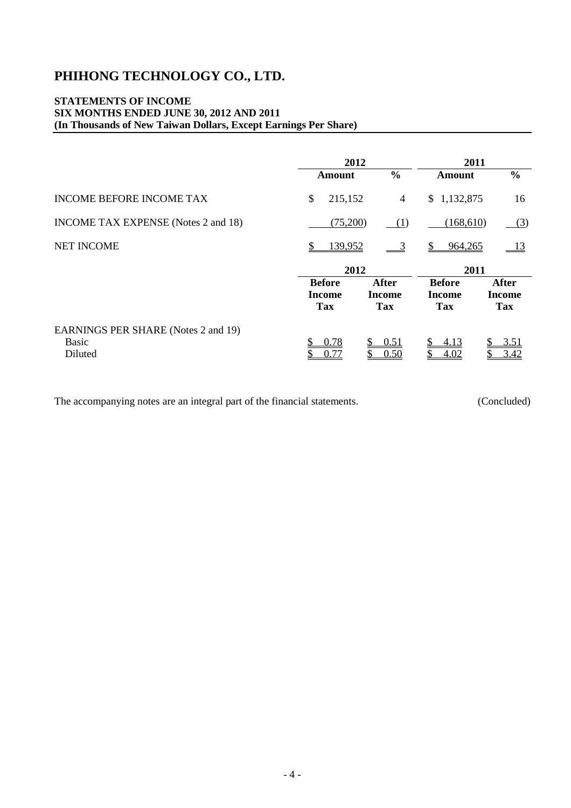# **STATEMENTS OF INCOME SIX MONTHS ENDED JUNE 30, 2012 AND 2011 (In Thousands of New Taiwan Dollars, Except Earnings Per Share)**

|                                                                |                                       | 2012                                 |                                              | 2011                                 |  |  |
|----------------------------------------------------------------|---------------------------------------|--------------------------------------|----------------------------------------------|--------------------------------------|--|--|
|                                                                | Amount                                | $\frac{0}{0}$                        | Amount                                       | $\frac{6}{6}$                        |  |  |
| <b>INCOME BEFORE INCOME TAX</b>                                | \$<br>215,152                         | $\overline{4}$                       | \$1,132,875                                  | 16                                   |  |  |
| <b>INCOME TAX EXPENSE</b> (Notes 2 and 18)                     | (75,200)                              | (1)                                  | (168,610)                                    | (3)                                  |  |  |
| <b>NET INCOME</b>                                              | 139,952<br>S                          | - 3                                  | 964,265                                      | $\overline{\phantom{0}13}$           |  |  |
|                                                                | 2012                                  |                                      | 2011                                         |                                      |  |  |
|                                                                | <b>Before</b><br>Income<br><b>Tax</b> | <b>After</b><br>Income<br><b>Tax</b> | <b>Before</b><br><b>Income</b><br><b>Tax</b> | <b>After</b><br><b>Income</b><br>Tax |  |  |
| EARNINGS PER SHARE (Notes 2 and 19)<br><b>Basic</b><br>Diluted | 0.78<br>0.77                          | 0.51<br>S<br>0.50                    | \$<br>4.13<br>\$<br>4.02                     | 3.51<br>3.42                         |  |  |

The accompanying notes are an integral part of the financial statements. (Concluded)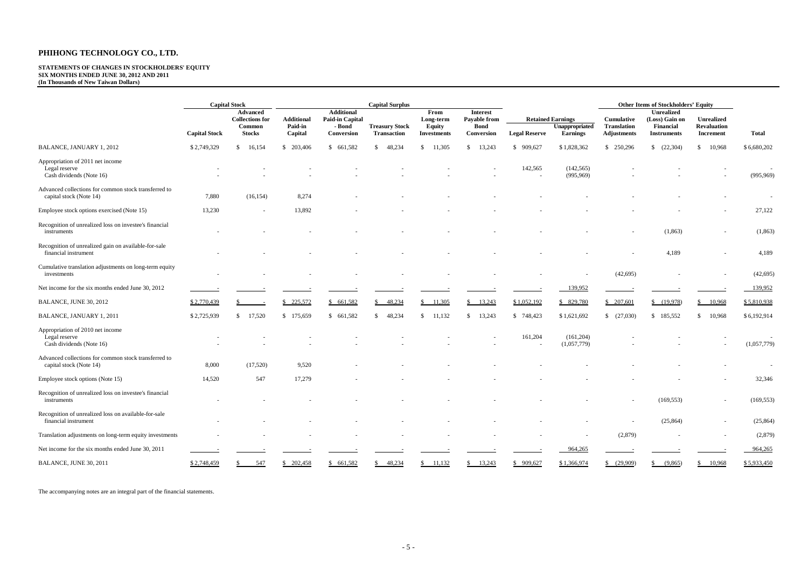# **STATEMENTS OF CHANGES IN STOCKHOLDERS' EQUITY SIX MONTHS ENDED JUNE 30, 2012 AND 2011 (In Thousands of New Taiwan Dollars)**

|                                                                                 |                      | <b>Capital Stock</b>             |                              |                                  | <b>Capital Surplus</b> |                     |                             |                      |                                            |                                         | <b>Other Items of Stockholders' Equity</b> |                                  |             |
|---------------------------------------------------------------------------------|----------------------|----------------------------------|------------------------------|----------------------------------|------------------------|---------------------|-----------------------------|----------------------|--------------------------------------------|-----------------------------------------|--------------------------------------------|----------------------------------|-------------|
|                                                                                 | Advanced             |                                  | <b>Additional</b>            |                                  | From                   | <b>Interest</b>     |                             |                      | <b>Unrealized</b>                          |                                         |                                            |                                  |             |
|                                                                                 |                      | <b>Collections for</b><br>Common | <b>Additional</b><br>Paid-in | <b>Paid-in Capital</b><br>- Bond | <b>Treasury Stock</b>  | Long-term<br>Equity | Payable from<br><b>Bond</b> |                      | <b>Retained Earnings</b><br>Unappropriated | <b>Cumulative</b><br><b>Translation</b> | (Loss) Gain on<br>Financial                | <b>Unrealized</b><br>Revaluation |             |
|                                                                                 | <b>Capital Stock</b> | <b>Stocks</b>                    | Capital                      | Conversion                       | <b>Transaction</b>     | <b>Investments</b>  | Conversion                  | <b>Legal Reserve</b> | Earnings                                   | Adjustments                             | <b>Instruments</b>                         | Increment                        | Total       |
| BALANCE, JANUARY 1, 2012                                                        | \$2,749,329          | 16,154<br>-S                     | \$ 203,406                   | \$ 661,582                       | 48,234<br>\$.          | \$11,305            | \$<br>13,243                | \$909,627            | \$1,828,362                                | \$ 250,296                              | \$ (22,304)                                | \$10,968                         | \$6,680,202 |
| Appropriation of 2011 net income<br>Legal reserve<br>Cash dividends (Note 16)   |                      |                                  |                              |                                  |                        |                     |                             | 142,565              | (142, 565)<br>(995, 969)                   |                                         |                                            |                                  | (995, 969)  |
| Advanced collections for common stock transferred to<br>capital stock (Note 14) | 7,880                | (16, 154)                        | 8,274                        |                                  |                        |                     |                             |                      |                                            |                                         |                                            |                                  |             |
| Employee stock options exercised (Note 15)                                      | 13,230               |                                  | 13,892                       |                                  |                        |                     |                             |                      |                                            |                                         |                                            |                                  | 27,122      |
| Recognition of unrealized loss on investee's financial<br>instruments           |                      |                                  |                              |                                  |                        |                     |                             |                      |                                            |                                         | (1, 863)                                   |                                  | (1, 863)    |
| Recognition of unrealized gain on available-for-sale<br>financial instrument    |                      |                                  |                              |                                  |                        |                     |                             |                      |                                            |                                         | 4,189                                      |                                  | 4,189       |
| Cumulative translation adjustments on long-term equity<br>investments           |                      |                                  |                              |                                  |                        |                     |                             |                      |                                            | (42, 695)                               |                                            |                                  | (42, 695)   |
| Net income for the six months ended June 30, 2012                               |                      |                                  |                              |                                  |                        |                     |                             |                      | 139,952                                    |                                         |                                            |                                  | 139,952     |
| <b>BALANCE, JUNE 30, 2012</b>                                                   | \$2,770,439          |                                  | 225,572<br>\$                | 661,582<br>\$.                   | 48,234                 | \$11,305            | 13,243                      | \$1,052,192          | \$ 829,780                                 | \$207,601                               | \$ (19,978)                                | \$10,968                         | \$5,810,938 |
| BALANCE, JANUARY 1, 2011                                                        | \$2,725,939          | 17,520<br>$\mathbf{\$}$          | \$175,659                    | \$661,582                        | 48,234<br>\$.          | \$11,132            | 13,243<br>\$                | \$748,423            | \$1,621,692                                | (27,030)<br>\$                          | \$185,552                                  | \$10,968                         | \$6,192,914 |
| Appropriation of 2010 net income<br>Legal reserve<br>Cash dividends (Note 16)   |                      |                                  |                              |                                  |                        |                     |                             | 161,204              | (161, 204)<br>(1,057,779)                  |                                         |                                            |                                  | (1,057,779) |
| Advanced collections for common stock transferred to<br>capital stock (Note 14) | 8,000                | (17,520)                         | 9,520                        |                                  |                        |                     |                             |                      |                                            |                                         |                                            |                                  |             |
| Employee stock options (Note 15)                                                | 14,520               | 547                              | 17,279                       |                                  |                        |                     |                             |                      |                                            |                                         |                                            |                                  | 32,346      |
| Recognition of unrealized loss on investee's financial<br>instruments           |                      |                                  |                              |                                  |                        |                     |                             |                      |                                            |                                         | (169, 553)                                 |                                  | (169, 553)  |
| Recognition of unrealized loss on available-for-sale<br>financial instrument    |                      |                                  |                              |                                  |                        |                     |                             |                      |                                            |                                         | (25, 864)                                  |                                  | (25, 864)   |
| Translation adjustments on long-term equity investments                         |                      |                                  |                              |                                  |                        |                     |                             |                      |                                            | (2,879)                                 |                                            |                                  | (2,879)     |
| Net income for the six months ended June 30, 2011                               |                      |                                  |                              |                                  |                        |                     |                             |                      | 964,265                                    |                                         |                                            |                                  | 964,265     |
| <b>BALANCE, JUNE 30, 2011</b>                                                   | \$2,748,459          | 547                              | 202,458<br>\$.               | 661.582<br>¢                     | 48.234                 | 11.132              | 13.243<br>S.                | \$909,627            | \$1,366,974                                | (29.909)<br>\$.                         | (9,865)                                    | 10,968<br>\$.                    | \$5,933,450 |

The accompanying notes are an integral part of the financial statements.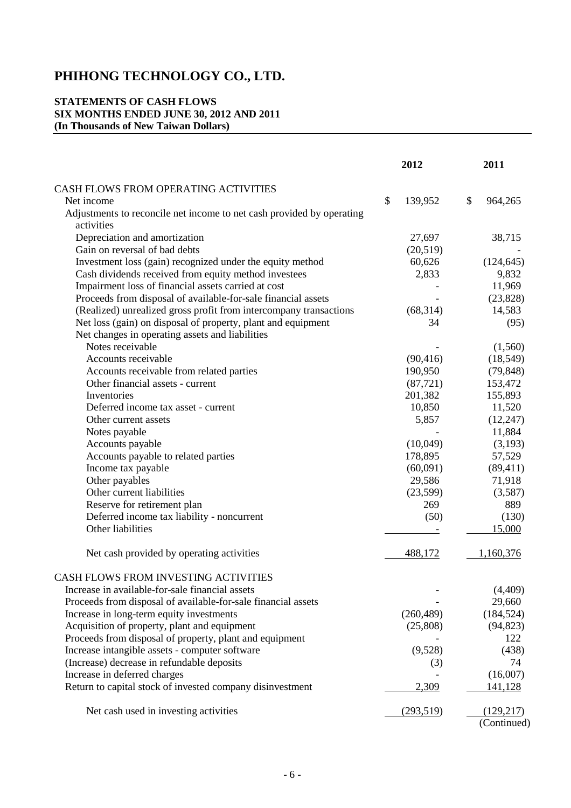# **STATEMENTS OF CASH FLOWS SIX MONTHS ENDED JUNE 30, 2012 AND 2011 (In Thousands of New Taiwan Dollars)**

| CASH FLOWS FROM OPERATING ACTIVITIES<br>$\mathcal{S}$<br>139,952<br>\$<br>964,265<br>Net income<br>Adjustments to reconcile net income to net cash provided by operating<br>activities<br>Depreciation and amortization<br>38,715<br>27,697<br>Gain on reversal of bad debts<br>(20,519)<br>Investment loss (gain) recognized under the equity method<br>60,626<br>(124, 645)<br>Cash dividends received from equity method investees<br>2,833<br>9,832<br>Impairment loss of financial assets carried at cost<br>11,969<br>Proceeds from disposal of available-for-sale financial assets<br>(23, 828)<br>(68, 314)<br>(Realized) unrealized gross profit from intercompany transactions<br>14,583<br>Net loss (gain) on disposal of property, plant and equipment<br>34<br>(95)<br>Net changes in operating assets and liabilities<br>Notes receivable<br>(1,560)<br>(90, 416)<br>Accounts receivable<br>(18, 549)<br>Accounts receivable from related parties<br>190,950<br>(79, 848)<br>Other financial assets - current<br>(87, 721)<br>153,472<br>Inventories<br>155,893<br>201,382<br>Deferred income tax asset - current<br>10,850<br>11,520<br>5,857<br>(12, 247)<br>Other current assets<br>11,884<br>Notes payable<br>(10,049)<br>Accounts payable<br>(3,193)<br>Accounts payable to related parties<br>178,895<br>57,529<br>Income tax payable<br>(60,091)<br>(89, 411)<br>Other payables<br>29,586<br>71,918<br>Other current liabilities<br>(3,587)<br>(23,599) |
|------------------------------------------------------------------------------------------------------------------------------------------------------------------------------------------------------------------------------------------------------------------------------------------------------------------------------------------------------------------------------------------------------------------------------------------------------------------------------------------------------------------------------------------------------------------------------------------------------------------------------------------------------------------------------------------------------------------------------------------------------------------------------------------------------------------------------------------------------------------------------------------------------------------------------------------------------------------------------------------------------------------------------------------------------------------------------------------------------------------------------------------------------------------------------------------------------------------------------------------------------------------------------------------------------------------------------------------------------------------------------------------------------------------------------------------------------------------------------|
|                                                                                                                                                                                                                                                                                                                                                                                                                                                                                                                                                                                                                                                                                                                                                                                                                                                                                                                                                                                                                                                                                                                                                                                                                                                                                                                                                                                                                                                                              |
|                                                                                                                                                                                                                                                                                                                                                                                                                                                                                                                                                                                                                                                                                                                                                                                                                                                                                                                                                                                                                                                                                                                                                                                                                                                                                                                                                                                                                                                                              |
|                                                                                                                                                                                                                                                                                                                                                                                                                                                                                                                                                                                                                                                                                                                                                                                                                                                                                                                                                                                                                                                                                                                                                                                                                                                                                                                                                                                                                                                                              |
|                                                                                                                                                                                                                                                                                                                                                                                                                                                                                                                                                                                                                                                                                                                                                                                                                                                                                                                                                                                                                                                                                                                                                                                                                                                                                                                                                                                                                                                                              |
|                                                                                                                                                                                                                                                                                                                                                                                                                                                                                                                                                                                                                                                                                                                                                                                                                                                                                                                                                                                                                                                                                                                                                                                                                                                                                                                                                                                                                                                                              |
|                                                                                                                                                                                                                                                                                                                                                                                                                                                                                                                                                                                                                                                                                                                                                                                                                                                                                                                                                                                                                                                                                                                                                                                                                                                                                                                                                                                                                                                                              |
|                                                                                                                                                                                                                                                                                                                                                                                                                                                                                                                                                                                                                                                                                                                                                                                                                                                                                                                                                                                                                                                                                                                                                                                                                                                                                                                                                                                                                                                                              |
|                                                                                                                                                                                                                                                                                                                                                                                                                                                                                                                                                                                                                                                                                                                                                                                                                                                                                                                                                                                                                                                                                                                                                                                                                                                                                                                                                                                                                                                                              |
|                                                                                                                                                                                                                                                                                                                                                                                                                                                                                                                                                                                                                                                                                                                                                                                                                                                                                                                                                                                                                                                                                                                                                                                                                                                                                                                                                                                                                                                                              |
|                                                                                                                                                                                                                                                                                                                                                                                                                                                                                                                                                                                                                                                                                                                                                                                                                                                                                                                                                                                                                                                                                                                                                                                                                                                                                                                                                                                                                                                                              |
|                                                                                                                                                                                                                                                                                                                                                                                                                                                                                                                                                                                                                                                                                                                                                                                                                                                                                                                                                                                                                                                                                                                                                                                                                                                                                                                                                                                                                                                                              |
|                                                                                                                                                                                                                                                                                                                                                                                                                                                                                                                                                                                                                                                                                                                                                                                                                                                                                                                                                                                                                                                                                                                                                                                                                                                                                                                                                                                                                                                                              |
|                                                                                                                                                                                                                                                                                                                                                                                                                                                                                                                                                                                                                                                                                                                                                                                                                                                                                                                                                                                                                                                                                                                                                                                                                                                                                                                                                                                                                                                                              |
|                                                                                                                                                                                                                                                                                                                                                                                                                                                                                                                                                                                                                                                                                                                                                                                                                                                                                                                                                                                                                                                                                                                                                                                                                                                                                                                                                                                                                                                                              |
|                                                                                                                                                                                                                                                                                                                                                                                                                                                                                                                                                                                                                                                                                                                                                                                                                                                                                                                                                                                                                                                                                                                                                                                                                                                                                                                                                                                                                                                                              |
|                                                                                                                                                                                                                                                                                                                                                                                                                                                                                                                                                                                                                                                                                                                                                                                                                                                                                                                                                                                                                                                                                                                                                                                                                                                                                                                                                                                                                                                                              |
|                                                                                                                                                                                                                                                                                                                                                                                                                                                                                                                                                                                                                                                                                                                                                                                                                                                                                                                                                                                                                                                                                                                                                                                                                                                                                                                                                                                                                                                                              |
|                                                                                                                                                                                                                                                                                                                                                                                                                                                                                                                                                                                                                                                                                                                                                                                                                                                                                                                                                                                                                                                                                                                                                                                                                                                                                                                                                                                                                                                                              |
|                                                                                                                                                                                                                                                                                                                                                                                                                                                                                                                                                                                                                                                                                                                                                                                                                                                                                                                                                                                                                                                                                                                                                                                                                                                                                                                                                                                                                                                                              |
|                                                                                                                                                                                                                                                                                                                                                                                                                                                                                                                                                                                                                                                                                                                                                                                                                                                                                                                                                                                                                                                                                                                                                                                                                                                                                                                                                                                                                                                                              |
|                                                                                                                                                                                                                                                                                                                                                                                                                                                                                                                                                                                                                                                                                                                                                                                                                                                                                                                                                                                                                                                                                                                                                                                                                                                                                                                                                                                                                                                                              |
|                                                                                                                                                                                                                                                                                                                                                                                                                                                                                                                                                                                                                                                                                                                                                                                                                                                                                                                                                                                                                                                                                                                                                                                                                                                                                                                                                                                                                                                                              |
|                                                                                                                                                                                                                                                                                                                                                                                                                                                                                                                                                                                                                                                                                                                                                                                                                                                                                                                                                                                                                                                                                                                                                                                                                                                                                                                                                                                                                                                                              |
|                                                                                                                                                                                                                                                                                                                                                                                                                                                                                                                                                                                                                                                                                                                                                                                                                                                                                                                                                                                                                                                                                                                                                                                                                                                                                                                                                                                                                                                                              |
|                                                                                                                                                                                                                                                                                                                                                                                                                                                                                                                                                                                                                                                                                                                                                                                                                                                                                                                                                                                                                                                                                                                                                                                                                                                                                                                                                                                                                                                                              |
|                                                                                                                                                                                                                                                                                                                                                                                                                                                                                                                                                                                                                                                                                                                                                                                                                                                                                                                                                                                                                                                                                                                                                                                                                                                                                                                                                                                                                                                                              |
| Reserve for retirement plan<br>269<br>889                                                                                                                                                                                                                                                                                                                                                                                                                                                                                                                                                                                                                                                                                                                                                                                                                                                                                                                                                                                                                                                                                                                                                                                                                                                                                                                                                                                                                                    |
| Deferred income tax liability - noncurrent<br>(50)<br>(130)                                                                                                                                                                                                                                                                                                                                                                                                                                                                                                                                                                                                                                                                                                                                                                                                                                                                                                                                                                                                                                                                                                                                                                                                                                                                                                                                                                                                                  |
| Other liabilities<br>15,000                                                                                                                                                                                                                                                                                                                                                                                                                                                                                                                                                                                                                                                                                                                                                                                                                                                                                                                                                                                                                                                                                                                                                                                                                                                                                                                                                                                                                                                  |
| 488,172<br>Net cash provided by operating activities<br>1,160,376                                                                                                                                                                                                                                                                                                                                                                                                                                                                                                                                                                                                                                                                                                                                                                                                                                                                                                                                                                                                                                                                                                                                                                                                                                                                                                                                                                                                            |
| CASH FLOWS FROM INVESTING ACTIVITIES                                                                                                                                                                                                                                                                                                                                                                                                                                                                                                                                                                                                                                                                                                                                                                                                                                                                                                                                                                                                                                                                                                                                                                                                                                                                                                                                                                                                                                         |
| (4, 409)<br>Increase in available-for-sale financial assets                                                                                                                                                                                                                                                                                                                                                                                                                                                                                                                                                                                                                                                                                                                                                                                                                                                                                                                                                                                                                                                                                                                                                                                                                                                                                                                                                                                                                  |
| Proceeds from disposal of available-for-sale financial assets<br>29,660                                                                                                                                                                                                                                                                                                                                                                                                                                                                                                                                                                                                                                                                                                                                                                                                                                                                                                                                                                                                                                                                                                                                                                                                                                                                                                                                                                                                      |
| Increase in long-term equity investments<br>(260, 489)<br>(184, 524)                                                                                                                                                                                                                                                                                                                                                                                                                                                                                                                                                                                                                                                                                                                                                                                                                                                                                                                                                                                                                                                                                                                                                                                                                                                                                                                                                                                                         |
| Acquisition of property, plant and equipment<br>(94, 823)<br>(25,808)                                                                                                                                                                                                                                                                                                                                                                                                                                                                                                                                                                                                                                                                                                                                                                                                                                                                                                                                                                                                                                                                                                                                                                                                                                                                                                                                                                                                        |
| Proceeds from disposal of property, plant and equipment<br>122                                                                                                                                                                                                                                                                                                                                                                                                                                                                                                                                                                                                                                                                                                                                                                                                                                                                                                                                                                                                                                                                                                                                                                                                                                                                                                                                                                                                               |
| (438)<br>Increase intangible assets - computer software<br>(9,528)                                                                                                                                                                                                                                                                                                                                                                                                                                                                                                                                                                                                                                                                                                                                                                                                                                                                                                                                                                                                                                                                                                                                                                                                                                                                                                                                                                                                           |
| (Increase) decrease in refundable deposits<br>74<br>(3)                                                                                                                                                                                                                                                                                                                                                                                                                                                                                                                                                                                                                                                                                                                                                                                                                                                                                                                                                                                                                                                                                                                                                                                                                                                                                                                                                                                                                      |
| Increase in deferred charges<br>(16,007)                                                                                                                                                                                                                                                                                                                                                                                                                                                                                                                                                                                                                                                                                                                                                                                                                                                                                                                                                                                                                                                                                                                                                                                                                                                                                                                                                                                                                                     |
| Return to capital stock of invested company disinvestment<br>2,309<br><u>141,128</u>                                                                                                                                                                                                                                                                                                                                                                                                                                                                                                                                                                                                                                                                                                                                                                                                                                                                                                                                                                                                                                                                                                                                                                                                                                                                                                                                                                                         |
| Net cash used in investing activities<br>(293,519)                                                                                                                                                                                                                                                                                                                                                                                                                                                                                                                                                                                                                                                                                                                                                                                                                                                                                                                                                                                                                                                                                                                                                                                                                                                                                                                                                                                                                           |
| (129,217)<br>(Continued)                                                                                                                                                                                                                                                                                                                                                                                                                                                                                                                                                                                                                                                                                                                                                                                                                                                                                                                                                                                                                                                                                                                                                                                                                                                                                                                                                                                                                                                     |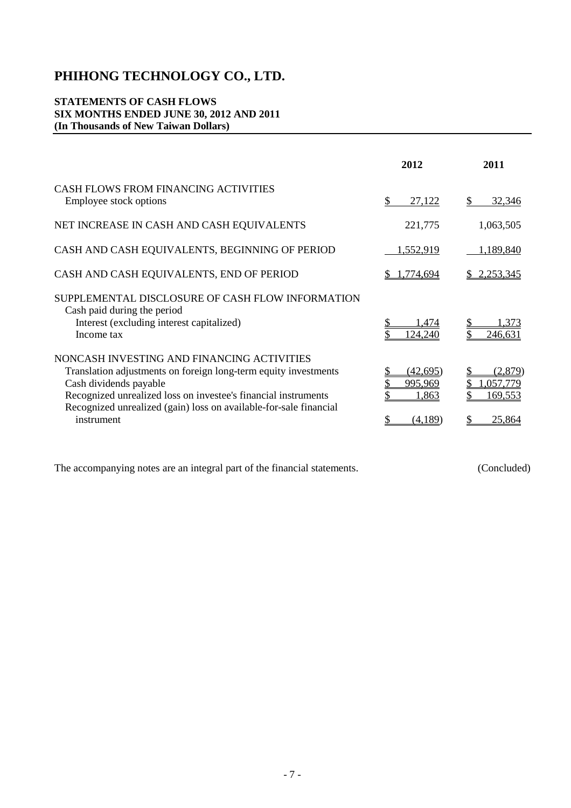# **STATEMENTS OF CASH FLOWS SIX MONTHS ENDED JUNE 30, 2012 AND 2011 (In Thousands of New Taiwan Dollars)**

|                                                                                                                                                                                                                                                                                              | 2012                                    | 2011                                      |
|----------------------------------------------------------------------------------------------------------------------------------------------------------------------------------------------------------------------------------------------------------------------------------------------|-----------------------------------------|-------------------------------------------|
| <b>CASH FLOWS FROM FINANCING ACTIVITIES</b><br>Employee stock options                                                                                                                                                                                                                        | 27,122                                  | S<br>32,346                               |
| NET INCREASE IN CASH AND CASH EQUIVALENTS                                                                                                                                                                                                                                                    | 221,775                                 | 1,063,505                                 |
| CASH AND CASH EQUIVALENTS, BEGINNING OF PERIOD                                                                                                                                                                                                                                               | 1,552,919                               | 1,189,840                                 |
| CASH AND CASH EQUIVALENTS, END OF PERIOD                                                                                                                                                                                                                                                     | 1,774,694                               | 2,253,345                                 |
| SUPPLEMENTAL DISCLOSURE OF CASH FLOW INFORMATION<br>Cash paid during the period<br>Interest (excluding interest capitalized)<br>Income tax                                                                                                                                                   | 1.474<br>124,240                        | -373<br>246,631                           |
| NONCASH INVESTING AND FINANCING ACTIVITIES<br>Translation adjustments on foreign long-term equity investments<br>Cash dividends payable<br>Recognized unrealized loss on investee's financial instruments<br>Recognized unrealized (gain) loss on available-for-sale financial<br>instrument | (42,695)<br>995,969<br>1,863<br>(4,189) | (2,879)<br>1,057,779<br>169,553<br>25,864 |

The accompanying notes are an integral part of the financial statements. (Concluded)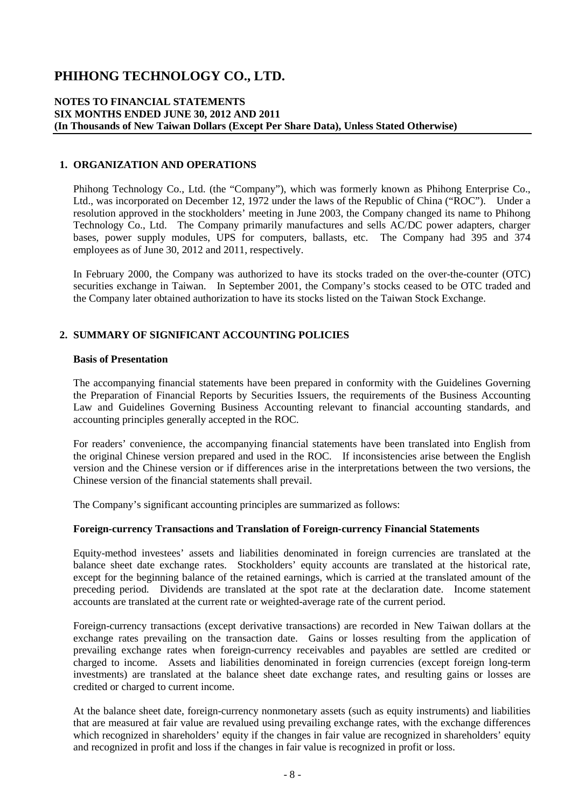#### **NOTES TO FINANCIAL STATEMENTS SIX MONTHS ENDED JUNE 30, 2012 AND 2011 (In Thousands of New Taiwan Dollars (Except Per Share Data), Unless Stated Otherwise)**

#### **1. ORGANIZATION AND OPERATIONS**

Phihong Technology Co., Ltd. (the "Company"), which was formerly known as Phihong Enterprise Co., Ltd., was incorporated on December 12, 1972 under the laws of the Republic of China ("ROC"). Under a resolution approved in the stockholders' meeting in June 2003, the Company changed its name to Phihong Technology Co., Ltd. The Company primarily manufactures and sells AC/DC power adapters, charger bases, power supply modules, UPS for computers, ballasts, etc. The Company had 395 and 374 employees as of June 30, 2012 and 2011, respectively.

In February 2000, the Company was authorized to have its stocks traded on the over-the-counter (OTC) securities exchange in Taiwan. In September 2001, the Company's stocks ceased to be OTC traded and the Company later obtained authorization to have its stocks listed on the Taiwan Stock Exchange.

#### **2. SUMMARY OF SIGNIFICANT ACCOUNTING POLICIES**

#### **Basis of Presentation**

The accompanying financial statements have been prepared in conformity with the Guidelines Governing the Preparation of Financial Reports by Securities Issuers, the requirements of the Business Accounting Law and Guidelines Governing Business Accounting relevant to financial accounting standards, and accounting principles generally accepted in the ROC.

For readers' convenience, the accompanying financial statements have been translated into English from the original Chinese version prepared and used in the ROC. If inconsistencies arise between the English version and the Chinese version or if differences arise in the interpretations between the two versions, the Chinese version of the financial statements shall prevail.

The Company's significant accounting principles are summarized as follows:

#### **Foreign-currency Transactions and Translation of Foreign-currency Financial Statements**

Equity-method investees' assets and liabilities denominated in foreign currencies are translated at the balance sheet date exchange rates. Stockholders' equity accounts are translated at the historical rate, except for the beginning balance of the retained earnings, which is carried at the translated amount of the preceding period. Dividends are translated at the spot rate at the declaration date. Income statement accounts are translated at the current rate or weighted-average rate of the current period.

Foreign-currency transactions (except derivative transactions) are recorded in New Taiwan dollars at the exchange rates prevailing on the transaction date. Gains or losses resulting from the application of prevailing exchange rates when foreign-currency receivables and payables are settled are credited or charged to income. Assets and liabilities denominated in foreign currencies (except foreign long-term investments) are translated at the balance sheet date exchange rates, and resulting gains or losses are credited or charged to current income.

At the balance sheet date, foreign-currency nonmonetary assets (such as equity instruments) and liabilities that are measured at fair value are revalued using prevailing exchange rates, with the exchange differences which recognized in shareholders' equity if the changes in fair value are recognized in shareholders' equity and recognized in profit and loss if the changes in fair value is recognized in profit or loss.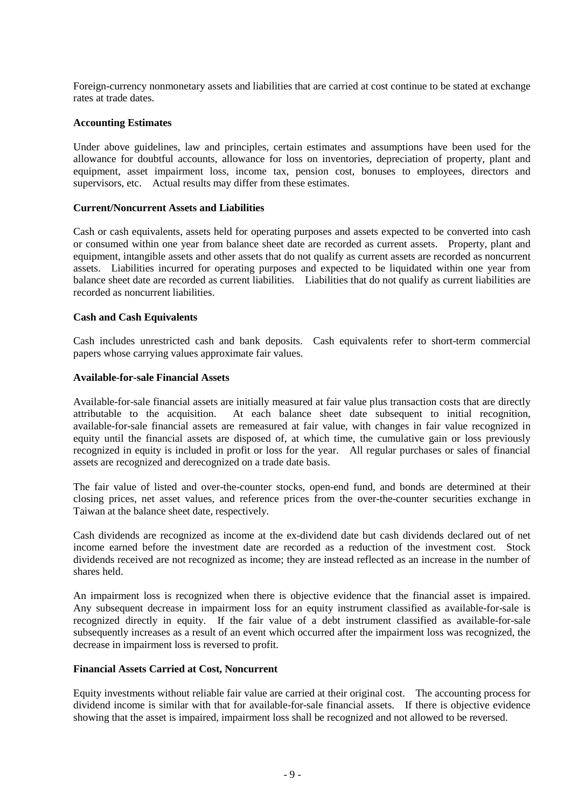Foreign-currency nonmonetary assets and liabilities that are carried at cost continue to be stated at exchange rates at trade dates.

#### **Accounting Estimates**

Under above guidelines, law and principles, certain estimates and assumptions have been used for the allowance for doubtful accounts, allowance for loss on inventories, depreciation of property, plant and equipment, asset impairment loss, income tax, pension cost, bonuses to employees, directors and supervisors, etc. Actual results may differ from these estimates.

#### **Current/Noncurrent Assets and Liabilities**

Cash or cash equivalents, assets held for operating purposes and assets expected to be converted into cash or consumed within one year from balance sheet date are recorded as current assets. Property, plant and equipment, intangible assets and other assets that do not qualify as current assets are recorded as noncurrent assets. Liabilities incurred for operating purposes and expected to be liquidated within one year from balance sheet date are recorded as current liabilities. Liabilities that do not qualify as current liabilities are recorded as noncurrent liabilities.

#### **Cash and Cash Equivalents**

Cash includes unrestricted cash and bank deposits. Cash equivalents refer to short-term commercial papers whose carrying values approximate fair values.

#### **Available-for-sale Financial Assets**

Available-for-sale financial assets are initially measured at fair value plus transaction costs that are directly attributable to the acquisition. At each balance sheet date subsequent to initial recognition, available-for-sale financial assets are remeasured at fair value, with changes in fair value recognized in equity until the financial assets are disposed of, at which time, the cumulative gain or loss previously recognized in equity is included in profit or loss for the year. All regular purchases or sales of financial assets are recognized and derecognized on a trade date basis.

The fair value of listed and over-the-counter stocks, open-end fund, and bonds are determined at their closing prices, net asset values, and reference prices from the over-the-counter securities exchange in Taiwan at the balance sheet date, respectively.

Cash dividends are recognized as income at the ex-dividend date but cash dividends declared out of net income earned before the investment date are recorded as a reduction of the investment cost. Stock dividends received are not recognized as income; they are instead reflected as an increase in the number of shares held.

An impairment loss is recognized when there is objective evidence that the financial asset is impaired. Any subsequent decrease in impairment loss for an equity instrument classified as available-for-sale is recognized directly in equity. If the fair value of a debt instrument classified as available-for-sale subsequently increases as a result of an event which occurred after the impairment loss was recognized, the decrease in impairment loss is reversed to profit.

#### **Financial Assets Carried at Cost, Noncurrent**

Equity investments without reliable fair value are carried at their original cost. The accounting process for dividend income is similar with that for available-for-sale financial assets. If there is objective evidence showing that the asset is impaired, impairment loss shall be recognized and not allowed to be reversed.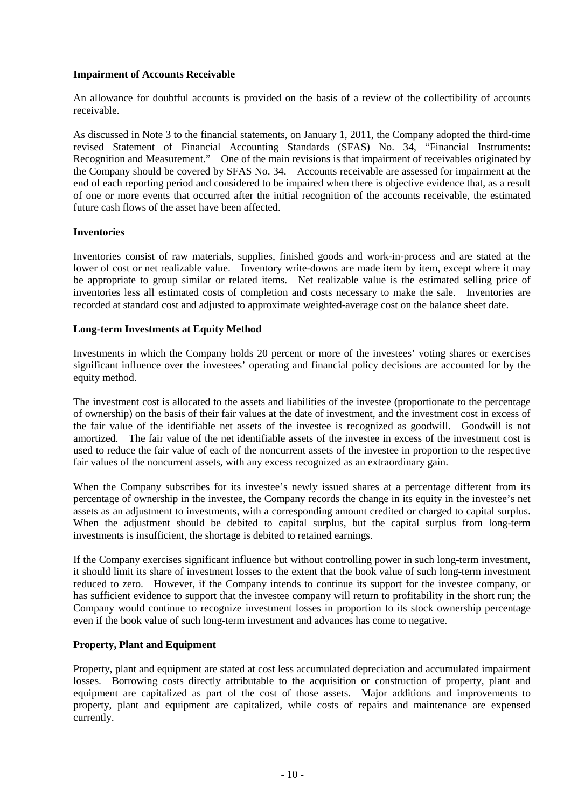#### **Impairment of Accounts Receivable**

An allowance for doubtful accounts is provided on the basis of a review of the collectibility of accounts receivable.

As discussed in Note 3 to the financial statements, on January 1, 2011, the Company adopted the third-time revised Statement of Financial Accounting Standards (SFAS) No. 34, "Financial Instruments: Recognition and Measurement." One of the main revisions is that impairment of receivables originated by the Company should be covered by SFAS No. 34. Accounts receivable are assessed for impairment at the end of each reporting period and considered to be impaired when there is objective evidence that, as a result of one or more events that occurred after the initial recognition of the accounts receivable, the estimated future cash flows of the asset have been affected.

#### **Inventories**

Inventories consist of raw materials, supplies, finished goods and work-in-process and are stated at the lower of cost or net realizable value. Inventory write-downs are made item by item, except where it may be appropriate to group similar or related items. Net realizable value is the estimated selling price of inventories less all estimated costs of completion and costs necessary to make the sale. Inventories are recorded at standard cost and adjusted to approximate weighted-average cost on the balance sheet date.

## **Long-term Investments at Equity Method**

Investments in which the Company holds 20 percent or more of the investees' voting shares or exercises significant influence over the investees' operating and financial policy decisions are accounted for by the equity method.

The investment cost is allocated to the assets and liabilities of the investee (proportionate to the percentage of ownership) on the basis of their fair values at the date of investment, and the investment cost in excess of the fair value of the identifiable net assets of the investee is recognized as goodwill. Goodwill is not amortized. The fair value of the net identifiable assets of the investee in excess of the investment cost is used to reduce the fair value of each of the noncurrent assets of the investee in proportion to the respective fair values of the noncurrent assets, with any excess recognized as an extraordinary gain.

When the Company subscribes for its investee's newly issued shares at a percentage different from its percentage of ownership in the investee, the Company records the change in its equity in the investee's net assets as an adjustment to investments, with a corresponding amount credited or charged to capital surplus. When the adjustment should be debited to capital surplus, but the capital surplus from long-term investments is insufficient, the shortage is debited to retained earnings.

If the Company exercises significant influence but without controlling power in such long-term investment, it should limit its share of investment losses to the extent that the book value of such long-term investment reduced to zero. However, if the Company intends to continue its support for the investee company, or has sufficient evidence to support that the investee company will return to profitability in the short run; the Company would continue to recognize investment losses in proportion to its stock ownership percentage even if the book value of such long-term investment and advances has come to negative.

#### **Property, Plant and Equipment**

Property, plant and equipment are stated at cost less accumulated depreciation and accumulated impairment losses. Borrowing costs directly attributable to the acquisition or construction of property, plant and equipment are capitalized as part of the cost of those assets. Major additions and improvements to property, plant and equipment are capitalized, while costs of repairs and maintenance are expensed currently.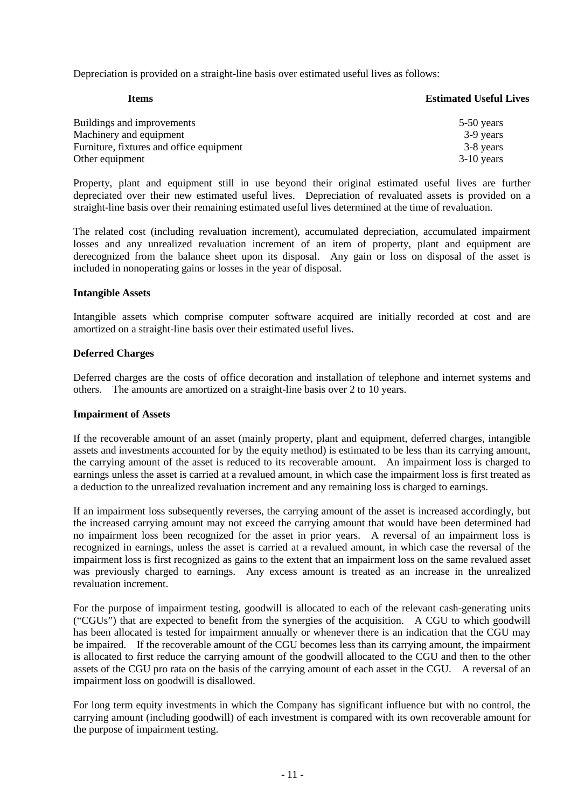Depreciation is provided on a straight-line basis over estimated useful lives as follows:

| Items                                    | <b>Estimated Useful Lives</b> |
|------------------------------------------|-------------------------------|
| Buildings and improvements               | 5-50 years                    |
| Machinery and equipment                  | 3-9 years                     |
| Furniture, fixtures and office equipment | 3-8 years                     |
| Other equipment                          | $3-10$ years                  |

Property, plant and equipment still in use beyond their original estimated useful lives are further depreciated over their new estimated useful lives. Depreciation of revaluated assets is provided on a straight-line basis over their remaining estimated useful lives determined at the time of revaluation.

The related cost (including revaluation increment), accumulated depreciation, accumulated impairment losses and any unrealized revaluation increment of an item of property, plant and equipment are derecognized from the balance sheet upon its disposal. Any gain or loss on disposal of the asset is included in nonoperating gains or losses in the year of disposal.

#### **Intangible Assets**

Intangible assets which comprise computer software acquired are initially recorded at cost and are amortized on a straight-line basis over their estimated useful lives.

## **Deferred Charges**

Deferred charges are the costs of office decoration and installation of telephone and internet systems and others. The amounts are amortized on a straight-line basis over 2 to 10 years.

#### **Impairment of Assets**

If the recoverable amount of an asset (mainly property, plant and equipment, deferred charges, intangible assets and investments accounted for by the equity method) is estimated to be less than its carrying amount, the carrying amount of the asset is reduced to its recoverable amount. An impairment loss is charged to earnings unless the asset is carried at a revalued amount, in which case the impairment loss is first treated as a deduction to the unrealized revaluation increment and any remaining loss is charged to earnings.

If an impairment loss subsequently reverses, the carrying amount of the asset is increased accordingly, but the increased carrying amount may not exceed the carrying amount that would have been determined had no impairment loss been recognized for the asset in prior years. A reversal of an impairment loss is recognized in earnings, unless the asset is carried at a revalued amount, in which case the reversal of the impairment loss is first recognized as gains to the extent that an impairment loss on the same revalued asset was previously charged to earnings. Any excess amount is treated as an increase in the unrealized revaluation increment.

For the purpose of impairment testing, goodwill is allocated to each of the relevant cash-generating units ("CGUs") that are expected to benefit from the synergies of the acquisition. A CGU to which goodwill has been allocated is tested for impairment annually or whenever there is an indication that the CGU may be impaired. If the recoverable amount of the CGU becomes less than its carrying amount, the impairment is allocated to first reduce the carrying amount of the goodwill allocated to the CGU and then to the other assets of the CGU pro rata on the basis of the carrying amount of each asset in the CGU. A reversal of an impairment loss on goodwill is disallowed.

For long term equity investments in which the Company has significant influence but with no control, the carrying amount (including goodwill) of each investment is compared with its own recoverable amount for the purpose of impairment testing.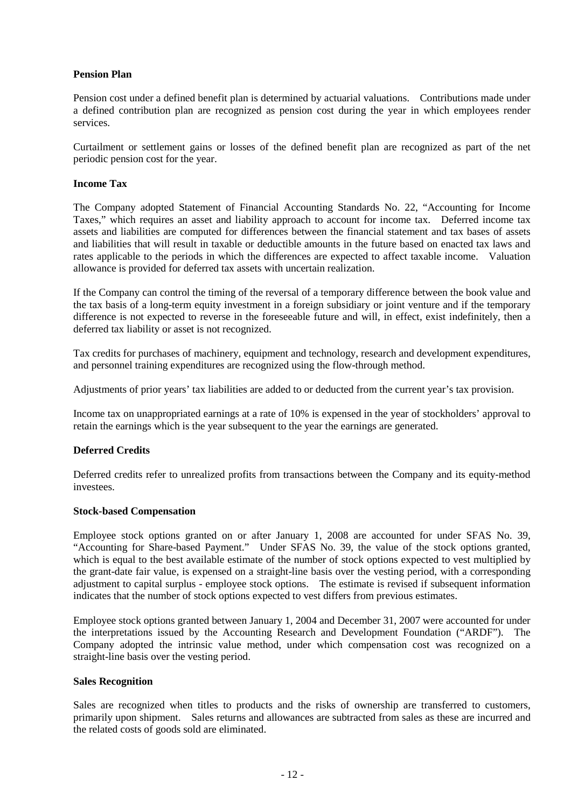#### **Pension Plan**

Pension cost under a defined benefit plan is determined by actuarial valuations. Contributions made under a defined contribution plan are recognized as pension cost during the year in which employees render services.

Curtailment or settlement gains or losses of the defined benefit plan are recognized as part of the net periodic pension cost for the year.

#### **Income Tax**

The Company adopted Statement of Financial Accounting Standards No. 22, "Accounting for Income Taxes," which requires an asset and liability approach to account for income tax. Deferred income tax assets and liabilities are computed for differences between the financial statement and tax bases of assets and liabilities that will result in taxable or deductible amounts in the future based on enacted tax laws and rates applicable to the periods in which the differences are expected to affect taxable income. Valuation allowance is provided for deferred tax assets with uncertain realization.

If the Company can control the timing of the reversal of a temporary difference between the book value and the tax basis of a long-term equity investment in a foreign subsidiary or joint venture and if the temporary difference is not expected to reverse in the foreseeable future and will, in effect, exist indefinitely, then a deferred tax liability or asset is not recognized.

Tax credits for purchases of machinery, equipment and technology, research and development expenditures, and personnel training expenditures are recognized using the flow-through method.

Adjustments of prior years' tax liabilities are added to or deducted from the current year's tax provision.

Income tax on unappropriated earnings at a rate of 10% is expensed in the year of stockholders' approval to retain the earnings which is the year subsequent to the year the earnings are generated.

#### **Deferred Credits**

Deferred credits refer to unrealized profits from transactions between the Company and its equity-method investees.

#### **Stock-based Compensation**

Employee stock options granted on or after January 1, 2008 are accounted for under SFAS No. 39, "Accounting for Share-based Payment." Under SFAS No. 39, the value of the stock options granted, which is equal to the best available estimate of the number of stock options expected to vest multiplied by the grant-date fair value, is expensed on a straight-line basis over the vesting period, with a corresponding adjustment to capital surplus - employee stock options. The estimate is revised if subsequent information indicates that the number of stock options expected to vest differs from previous estimates.

Employee stock options granted between January 1, 2004 and December 31, 2007 were accounted for under the interpretations issued by the Accounting Research and Development Foundation ("ARDF"). The Company adopted the intrinsic value method, under which compensation cost was recognized on a straight-line basis over the vesting period.

#### **Sales Recognition**

Sales are recognized when titles to products and the risks of ownership are transferred to customers, primarily upon shipment. Sales returns and allowances are subtracted from sales as these are incurred and the related costs of goods sold are eliminated.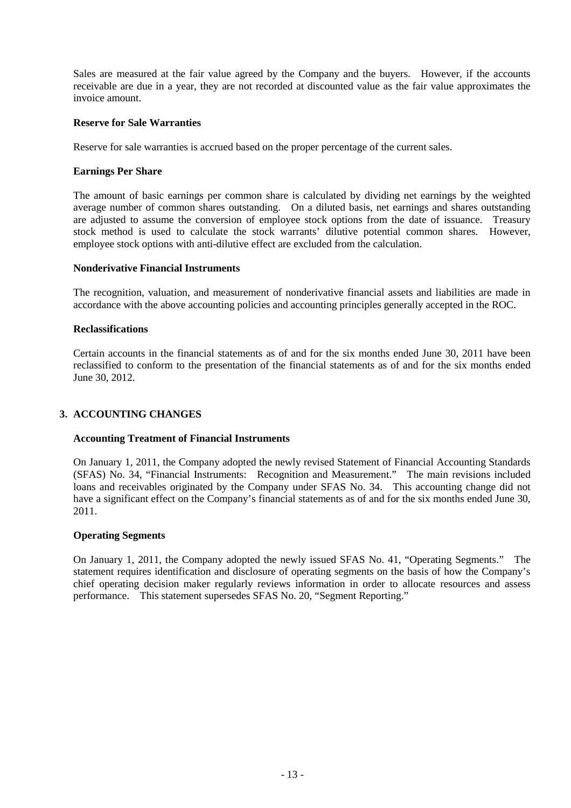Sales are measured at the fair value agreed by the Company and the buyers. However, if the accounts receivable are due in a year, they are not recorded at discounted value as the fair value approximates the invoice amount.

#### **Reserve for Sale Warranties**

Reserve for sale warranties is accrued based on the proper percentage of the current sales.

#### **Earnings Per Share**

The amount of basic earnings per common share is calculated by dividing net earnings by the weighted average number of common shares outstanding. On a diluted basis, net earnings and shares outstanding are adjusted to assume the conversion of employee stock options from the date of issuance. Treasury stock method is used to calculate the stock warrants' dilutive potential common shares. However, employee stock options with anti-dilutive effect are excluded from the calculation.

#### **Nonderivative Financial Instruments**

The recognition, valuation, and measurement of nonderivative financial assets and liabilities are made in accordance with the above accounting policies and accounting principles generally accepted in the ROC.

## **Reclassifications**

Certain accounts in the financial statements as of and for the six months ended June 30, 2011 have been reclassified to conform to the presentation of the financial statements as of and for the six months ended June 30, 2012.

# **3. ACCOUNTING CHANGES**

#### **Accounting Treatment of Financial Instruments**

On January 1, 2011, the Company adopted the newly revised Statement of Financial Accounting Standards (SFAS) No. 34, "Financial Instruments: Recognition and Measurement." The main revisions included loans and receivables originated by the Company under SFAS No. 34. This accounting change did not have a significant effect on the Company's financial statements as of and for the six months ended June 30, 2011.

#### **Operating Segments**

On January 1, 2011, the Company adopted the newly issued SFAS No. 41, "Operating Segments." The statement requires identification and disclosure of operating segments on the basis of how the Company's chief operating decision maker regularly reviews information in order to allocate resources and assess performance. This statement supersedes SFAS No. 20, "Segment Reporting."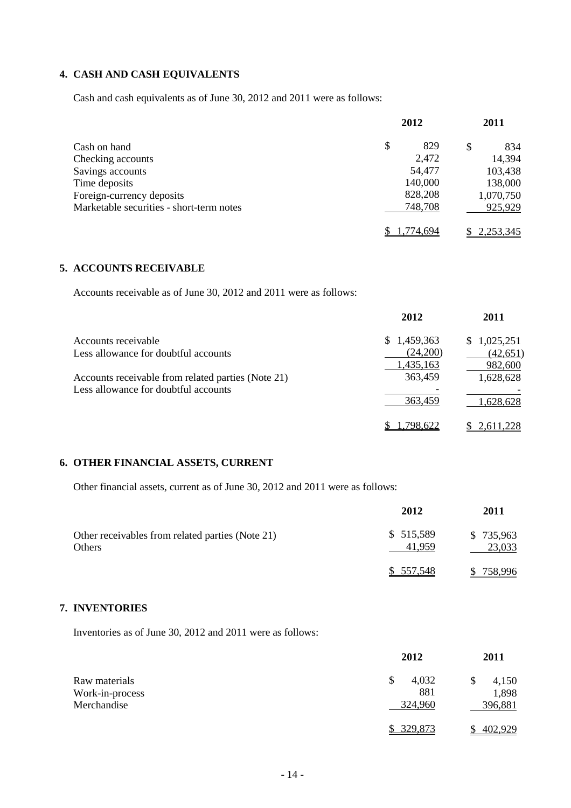# **4. CASH AND CASH EQUIVALENTS**

Cash and cash equivalents as of June 30, 2012 and 2011 were as follows:

|                                          | 2012      | 2011      |
|------------------------------------------|-----------|-----------|
| Cash on hand                             | \$<br>829 | \$<br>834 |
| Checking accounts                        | 2,472     | 14,394    |
| Savings accounts                         | 54,477    | 103,438   |
| Time deposits                            | 140,000   | 138,000   |
| Foreign-currency deposits                | 828,208   | 1,070,750 |
| Marketable securities - short-term notes | 748,708   | 925,929   |
|                                          | .774.694  | 2,253,345 |

# **5. ACCOUNTS RECEIVABLE**

Accounts receivable as of June 30, 2012 and 2011 were as follows:

|                                                    | 2012        | 2011      |
|----------------------------------------------------|-------------|-----------|
| Accounts receivable                                | \$1,459,363 | 1,025,251 |
| Less allowance for doubtful accounts               | (24,200)    | (42, 651) |
|                                                    | 1,435,163   | 982,600   |
| Accounts receivable from related parties (Note 21) | 363,459     | 1,628,628 |
| Less allowance for doubtful accounts               |             |           |
|                                                    | 363,459     | 1,628,628 |
|                                                    | 798.622     | 2.611.228 |

#### **6. OTHER FINANCIAL ASSETS, CURRENT**

Other financial assets, current as of June 30, 2012 and 2011 were as follows:

|                                                                   | 2012                | 2011                |
|-------------------------------------------------------------------|---------------------|---------------------|
| Other receivables from related parties (Note 21)<br><b>Others</b> | \$515,589<br>41.959 | \$735,963<br>23,033 |
|                                                                   | \$ 557.548          | .996<br>158.        |

# **7. INVENTORIES**

Inventories as of June 30, 2012 and 2011 were as follows:

|                 | 2012       | 2011    |
|-----------------|------------|---------|
| Raw materials   | 4,032<br>S | 4,150   |
| Work-in-process | 881        | 1,898   |
| Merchandise     | 324,960    | 396,881 |
|                 | \$ 329,873 | 402,929 |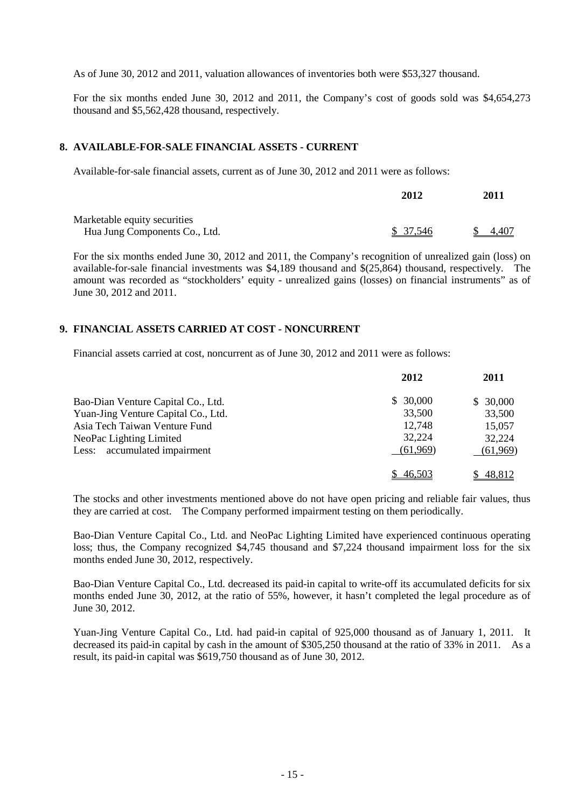As of June 30, 2012 and 2011, valuation allowances of inventories both were \$53,327 thousand.

For the six months ended June 30, 2012 and 2011, the Company's cost of goods sold was \$4,654,273 thousand and \$5,562,428 thousand, respectively.

#### **8. AVAILABLE-FOR-SALE FINANCIAL ASSETS - CURRENT**

Available-for-sale financial assets, current as of June 30, 2012 and 2011 were as follows:

|                               | 2012      | 2011  |
|-------------------------------|-----------|-------|
| Marketable equity securities  |           |       |
| Hua Jung Components Co., Ltd. | \$ 37,546 | 4,407 |

For the six months ended June 30, 2012 and 2011, the Company's recognition of unrealized gain (loss) on available-for-sale financial investments was \$4,189 thousand and \$(25,864) thousand, respectively. The amount was recorded as "stockholders' equity - unrealized gains (losses) on financial instruments" as of June 30, 2012 and 2011.

## **9. FINANCIAL ASSETS CARRIED AT COST - NONCURRENT**

Financial assets carried at cost, noncurrent as of June 30, 2012 and 2011 were as follows:

|                                     | 2012     | 2011     |
|-------------------------------------|----------|----------|
| Bao-Dian Venture Capital Co., Ltd.  | \$30,000 | \$30,000 |
| Yuan-Jing Venture Capital Co., Ltd. | 33,500   | 33,500   |
| Asia Tech Taiwan Venture Fund       | 12,748   | 15,057   |
| NeoPac Lighting Limited             | 32,224   | 32,224   |
| Less: accumulated impairment        | (61,969) | (61,969) |
|                                     | \$46,503 | \$48,812 |

The stocks and other investments mentioned above do not have open pricing and reliable fair values, thus they are carried at cost. The Company performed impairment testing on them periodically.

Bao-Dian Venture Capital Co., Ltd. and NeoPac Lighting Limited have experienced continuous operating loss; thus, the Company recognized \$4,745 thousand and \$7,224 thousand impairment loss for the six months ended June 30, 2012, respectively.

Bao-Dian Venture Capital Co., Ltd. decreased its paid-in capital to write-off its accumulated deficits for six months ended June 30, 2012, at the ratio of 55%, however, it hasn't completed the legal procedure as of June 30, 2012.

Yuan-Jing Venture Capital Co., Ltd. had paid-in capital of 925,000 thousand as of January 1, 2011. It decreased its paid-in capital by cash in the amount of \$305,250 thousand at the ratio of 33% in 2011. As a result, its paid-in capital was \$619,750 thousand as of June 30, 2012.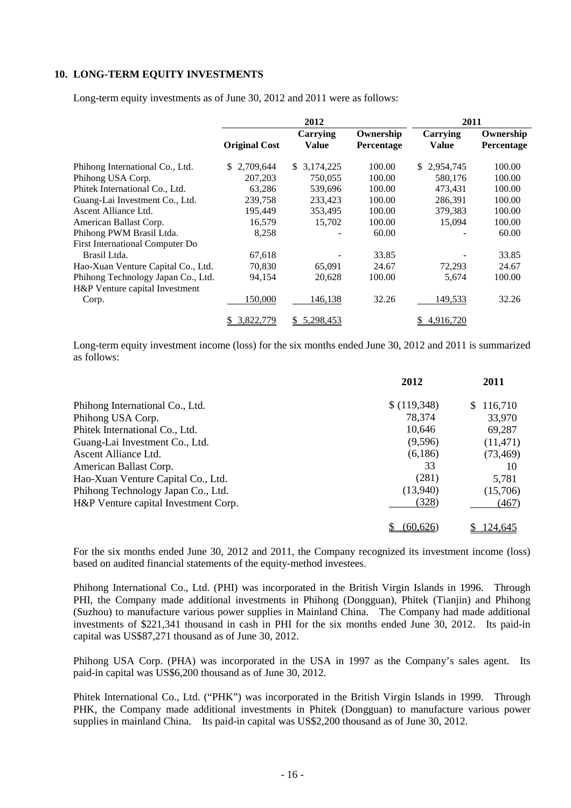## **10. LONG-TERM EQUITY INVESTMENTS**

Long-term equity investments as of June 30, 2012 and 2011 were as follows:

|                                    | 2012                 |                          |                         | 2011              |                         |
|------------------------------------|----------------------|--------------------------|-------------------------|-------------------|-------------------------|
|                                    | <b>Original Cost</b> | Carrying<br><b>Value</b> | Ownership<br>Percentage | Carrying<br>Value | Ownership<br>Percentage |
| Phihong International Co., Ltd.    | 2.709.644<br>S.      | \$ 3,174,225             | 100.00                  | \$ 2,954,745      | 100.00                  |
| Phihong USA Corp.                  | 207,203              | 750,055                  | 100.00                  | 580,176           | 100.00                  |
| Phitek International Co., Ltd.     | 63,286               | 539,696                  | 100.00                  | 473,431           | 100.00                  |
| Guang-Lai Investment Co., Ltd.     | 239,758              | 233,423                  | 100.00                  | 286,391           | 100.00                  |
| Ascent Alliance Ltd.               | 195,449              | 353,495                  | 100.00                  | 379,383           | 100.00                  |
| American Ballast Corp.             | 16,579               | 15,702                   | 100.00                  | 15,094            | 100.00                  |
| Phihong PWM Brasil Ltda.           | 8,258                |                          | 60.00                   |                   | 60.00                   |
| First International Computer Do    |                      |                          |                         |                   |                         |
| Brasil Ltda.                       | 67,618               |                          | 33.85                   |                   | 33.85                   |
| Hao-Xuan Venture Capital Co., Ltd. | 70,830               | 65,091                   | 24.67                   | 72,293            | 24.67                   |
| Phihong Technology Japan Co., Ltd. | 94,154               | 20,628                   | 100.00                  | 5,674             | 100.00                  |
| H&P Venture capital Investment     |                      |                          |                         |                   |                         |
| Corp.                              | 150,000              | 146,138                  | 32.26                   | 149,533           | 32.26                   |
|                                    | 3.822.779            | \$ 5.298.453             |                         | 4,916,720         |                         |

Long-term equity investment income (loss) for the six months ended June 30, 2012 and 2011 is summarized as follows:

|                                      | 2012        | 2011           |
|--------------------------------------|-------------|----------------|
| Phihong International Co., Ltd.      | \$(119,348) | 116,710<br>\$. |
| Phihong USA Corp.                    | 78,374      | 33,970         |
| Phitek International Co., Ltd.       | 10,646      | 69,287         |
| Guang-Lai Investment Co., Ltd.       | (9,596)     | (11, 471)      |
| Ascent Alliance Ltd.                 | (6,186)     | (73, 469)      |
| American Ballast Corp.               | 33          | 10             |
| Hao-Xuan Venture Capital Co., Ltd.   | (281)       | 5,781          |
| Phihong Technology Japan Co., Ltd.   | (13,940)    | (15,706)       |
| H&P Venture capital Investment Corp. | (328)       | (467)          |
|                                      | (60.626     | 124,645        |

For the six months ended June 30, 2012 and 2011, the Company recognized its investment income (loss) based on audited financial statements of the equity-method investees.

Phihong International Co., Ltd. (PHI) was incorporated in the British Virgin Islands in 1996. Through PHI, the Company made additional investments in Phihong (Dongguan), Phitek (Tianjin) and Phihong (Suzhou) to manufacture various power supplies in Mainland China. The Company had made additional investments of \$221,341 thousand in cash in PHI for the six months ended June 30, 2012. Its paid-in capital was US\$87,271 thousand as of June 30, 2012.

Phihong USA Corp. (PHA) was incorporated in the USA in 1997 as the Company's sales agent. Its paid-in capital was US\$6,200 thousand as of June 30, 2012.

Phitek International Co., Ltd. ("PHK") was incorporated in the British Virgin Islands in 1999. Through PHK, the Company made additional investments in Phitek (Dongguan) to manufacture various power supplies in mainland China. Its paid-in capital was US\$2,200 thousand as of June 30, 2012.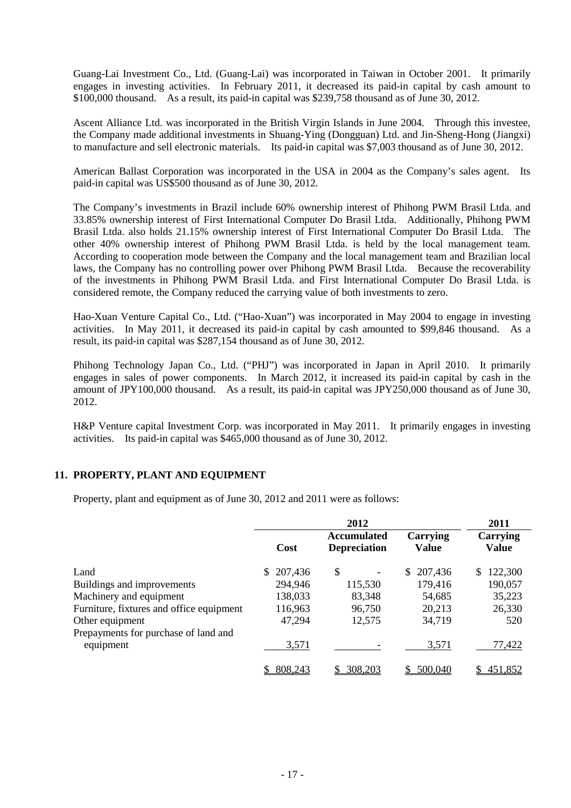Guang-Lai Investment Co., Ltd. (Guang-Lai) was incorporated in Taiwan in October 2001. It primarily engages in investing activities. In February 2011, it decreased its paid-in capital by cash amount to \$100,000 thousand. As a result, its paid-in capital was \$239,758 thousand as of June 30, 2012.

Ascent Alliance Ltd. was incorporated in the British Virgin Islands in June 2004. Through this investee, the Company made additional investments in Shuang-Ying (Dongguan) Ltd. and Jin-Sheng-Hong (Jiangxi) to manufacture and sell electronic materials. Its paid-in capital was \$7,003 thousand as of June 30, 2012.

American Ballast Corporation was incorporated in the USA in 2004 as the Company's sales agent. Its paid-in capital was US\$500 thousand as of June 30, 2012.

The Company's investments in Brazil include 60% ownership interest of Phihong PWM Brasil Ltda. and 33.85% ownership interest of First International Computer Do Brasil Ltda. Additionally, Phihong PWM Brasil Ltda. also holds 21.15% ownership interest of First International Computer Do Brasil Ltda. The other 40% ownership interest of Phihong PWM Brasil Ltda. is held by the local management team. According to cooperation mode between the Company and the local management team and Brazilian local laws, the Company has no controlling power over Phihong PWM Brasil Ltda. Because the recoverability of the investments in Phihong PWM Brasil Ltda. and First International Computer Do Brasil Ltda. is considered remote, the Company reduced the carrying value of both investments to zero.

Hao-Xuan Venture Capital Co., Ltd. ("Hao-Xuan") was incorporated in May 2004 to engage in investing activities. In May 2011, it decreased its paid-in capital by cash amounted to \$99,846 thousand. As a result, its paid-in capital was \$287,154 thousand as of June 30, 2012.

Phihong Technology Japan Co., Ltd. ("PHJ") was incorporated in Japan in April 2010. It primarily engages in sales of power components. In March 2012, it increased its paid-in capital by cash in the amount of JPY100,000 thousand. As a result, its paid-in capital was JPY250,000 thousand as of June 30, 2012.

H&P Venture capital Investment Corp. was incorporated in May 2011. It primarily engages in investing activities. Its paid-in capital was \$465,000 thousand as of June 30, 2012.

#### **11. PROPERTY, PLANT AND EQUIPMENT**

Property, plant and equipment as of June 30, 2012 and 2011 were as follows:

|                                          | 2012           |                                           |                   | 2011                     |
|------------------------------------------|----------------|-------------------------------------------|-------------------|--------------------------|
|                                          | Cost           | <b>Accumulated</b><br><b>Depreciation</b> | Carrying<br>Value | Carrying<br><b>Value</b> |
| Land                                     | 207,436<br>\$. | \$                                        | 207,436<br>\$.    | 122,300<br>S.            |
| Buildings and improvements               | 294,946        | 115,530                                   | 179,416           | 190,057                  |
| Machinery and equipment                  | 138,033        | 83,348                                    | 54,685            | 35,223                   |
| Furniture, fixtures and office equipment | 116,963        | 96,750                                    | 20,213            | 26,330                   |
| Other equipment                          | 47,294         | 12,575                                    | 34,719            | 520                      |
| Prepayments for purchase of land and     |                |                                           |                   |                          |
| equipment                                | 3,571          |                                           | 3,571             | 77,422                   |
|                                          | 808,243        | 308,203                                   | 500,040           | 451,852                  |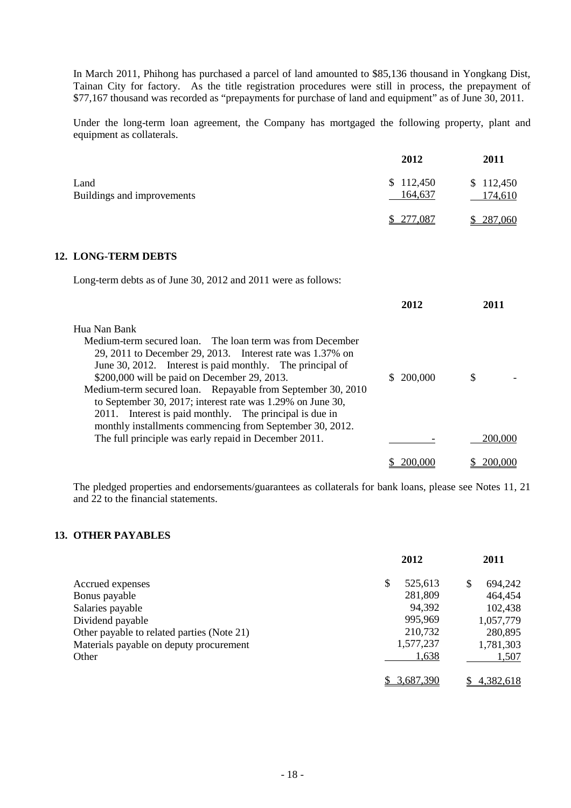In March 2011, Phihong has purchased a parcel of land amounted to \$85,136 thousand in Yongkang Dist, Tainan City for factory. As the title registration procedures were still in process, the prepayment of \$77,167 thousand was recorded as "prepayments for purchase of land and equipment" as of June 30, 2011.

Under the long-term loan agreement, the Company has mortgaged the following property, plant and equipment as collaterals.

|                                    | 2012                 | 2011                 |
|------------------------------------|----------------------|----------------------|
| Land<br>Buildings and improvements | \$112,450<br>164,637 | \$112,450<br>174,610 |
|                                    | \$277,087            | 287,060              |

#### **12. LONG-TERM DEBTS**

Long-term debts as of June 30, 2012 and 2011 were as follows:

|                                                             | 2012    | 2011    |
|-------------------------------------------------------------|---------|---------|
| Hua Nan Bank                                                |         |         |
| Medium-term secured loan. The loan term was from December   |         |         |
| 29, 2011 to December 29, 2013. Interest rate was 1.37% on   |         |         |
| June 30, 2012. Interest is paid monthly. The principal of   |         |         |
| \$200,000 will be paid on December 29, 2013.                | 200,000 | S       |
| Medium-term secured loan. Repayable from September 30, 2010 |         |         |
| to September 30, 2017; interest rate was 1.29% on June 30,  |         |         |
| 2011. Interest is paid monthly. The principal is due in     |         |         |
| monthly installments commencing from September 30, 2012.    |         |         |
| The full principle was early repaid in December 2011.       |         | 200,000 |
|                                                             | 200     |         |

The pledged properties and endorsements/guarantees as collaterals for bank loans, please see Notes 11, 21 and 22 to the financial statements.

# **13. OTHER PAYABLES**

|                                            | 2012          | 2011          |
|--------------------------------------------|---------------|---------------|
| Accrued expenses                           | \$<br>525,613 | 694,242<br>\$ |
| Bonus payable                              | 281,809       | 464,454       |
| Salaries payable                           | 94,392        | 102,438       |
| Dividend payable                           | 995,969       | 1,057,779     |
| Other payable to related parties (Note 21) | 210,732       | 280,895       |
| Materials payable on deputy procurement    | 1,577,237     | 1,781,303     |
| Other                                      | 1,638         | 1,507         |
|                                            | 3,687,390     | 4,382,618     |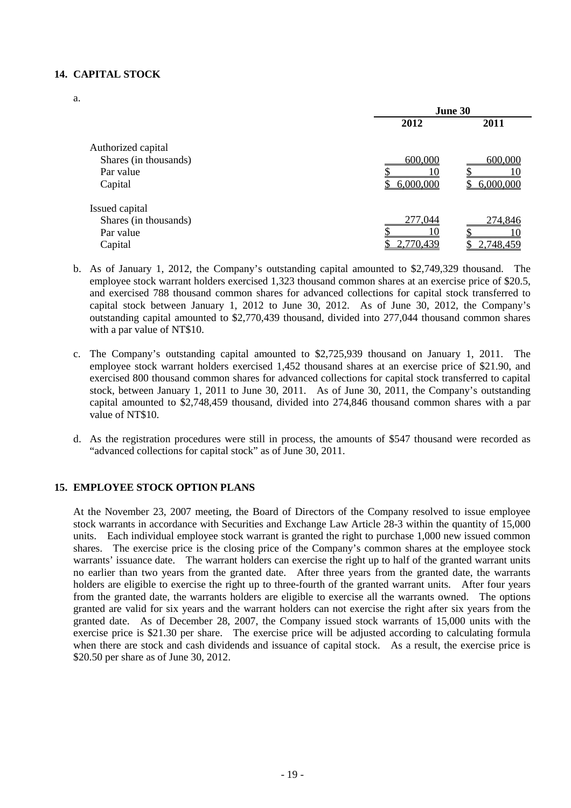## **14. CAPITAL STOCK**

a.

|                       | June 30   |           |  |  |
|-----------------------|-----------|-----------|--|--|
|                       | 2012      | 2011      |  |  |
| Authorized capital    |           |           |  |  |
| Shares (in thousands) | 600,000   | 600,000   |  |  |
| Par value             |           |           |  |  |
| Capital               | 6,000,000 | 6,000,000 |  |  |
| Issued capital        |           |           |  |  |
| Shares (in thousands) | 277,044   | 274,846   |  |  |
| Par value             | 10        |           |  |  |
| Capital               | 2,770,439 | 2,748,459 |  |  |

- b. As of January 1, 2012, the Company's outstanding capital amounted to \$2,749,329 thousand. The employee stock warrant holders exercised 1,323 thousand common shares at an exercise price of \$20.5, and exercised 788 thousand common shares for advanced collections for capital stock transferred to capital stock between January 1, 2012 to June 30, 2012. As of June 30, 2012, the Company's outstanding capital amounted to \$2,770,439 thousand, divided into 277,044 thousand common shares with a par value of NT\$10.
- c. The Company's outstanding capital amounted to \$2,725,939 thousand on January 1, 2011. The employee stock warrant holders exercised 1,452 thousand shares at an exercise price of \$21.90, and exercised 800 thousand common shares for advanced collections for capital stock transferred to capital stock, between January 1, 2011 to June 30, 2011. As of June 30, 2011, the Company's outstanding capital amounted to \$2,748,459 thousand, divided into 274,846 thousand common shares with a par value of NT\$10.
- d. As the registration procedures were still in process, the amounts of \$547 thousand were recorded as "advanced collections for capital stock" as of June 30, 2011.

#### **15. EMPLOYEE STOCK OPTION PLANS**

At the November 23, 2007 meeting, the Board of Directors of the Company resolved to issue employee stock warrants in accordance with Securities and Exchange Law Article 28-3 within the quantity of 15,000 units. Each individual employee stock warrant is granted the right to purchase 1,000 new issued common shares. The exercise price is the closing price of the Company's common shares at the employee stock warrants' issuance date. The warrant holders can exercise the right up to half of the granted warrant units no earlier than two years from the granted date. After three years from the granted date, the warrants holders are eligible to exercise the right up to three-fourth of the granted warrant units. After four years from the granted date, the warrants holders are eligible to exercise all the warrants owned. The options granted are valid for six years and the warrant holders can not exercise the right after six years from the granted date. As of December 28, 2007, the Company issued stock warrants of 15,000 units with the exercise price is \$21.30 per share. The exercise price will be adjusted according to calculating formula when there are stock and cash dividends and issuance of capital stock. As a result, the exercise price is \$20.50 per share as of June 30, 2012.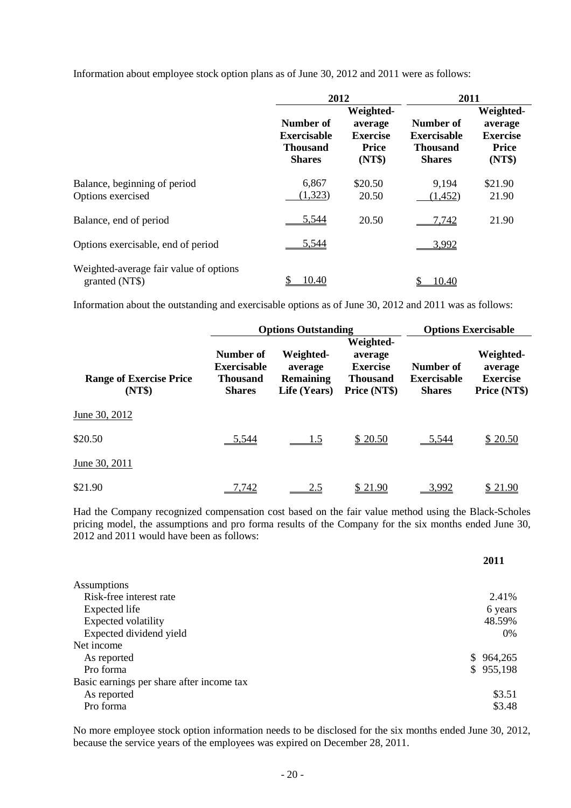Information about employee stock option plans as of June 30, 2012 and 2011 were as follows:

|                                                          | 2012                                                                |                                                                   | 2011                                                                |                                                                   |
|----------------------------------------------------------|---------------------------------------------------------------------|-------------------------------------------------------------------|---------------------------------------------------------------------|-------------------------------------------------------------------|
|                                                          | Number of<br><b>Exercisable</b><br><b>Thousand</b><br><b>Shares</b> | Weighted-<br>average<br><b>Exercise</b><br><b>Price</b><br>(NT\$) | Number of<br><b>Exercisable</b><br><b>Thousand</b><br><b>Shares</b> | Weighted-<br>average<br><b>Exercise</b><br><b>Price</b><br>(NT\$) |
| Balance, beginning of period<br>Options exercised        | 6,867<br>(1,323)                                                    | \$20.50<br>20.50                                                  | 9,194<br>(1, 452)                                                   | \$21.90<br>21.90                                                  |
| Balance, end of period                                   | 5,544                                                               | 20.50                                                             | 7,742                                                               | 21.90                                                             |
| Options exercisable, end of period                       | 5,544                                                               |                                                                   | 3,992                                                               |                                                                   |
| Weighted-average fair value of options<br>granted (NT\$) | 10.40                                                               |                                                                   | 10.40                                                               |                                                                   |

Information about the outstanding and exercisable options as of June 30, 2012 and 2011 was as follows:

|                                          |                                                                     | <b>Options Outstanding</b>                               |                                                                            |                                                  | <b>Options Exercisable</b>                              |  |
|------------------------------------------|---------------------------------------------------------------------|----------------------------------------------------------|----------------------------------------------------------------------------|--------------------------------------------------|---------------------------------------------------------|--|
| <b>Range of Exercise Price</b><br>(NT\$) | Number of<br><b>Exercisable</b><br><b>Thousand</b><br><b>Shares</b> | Weighted-<br>average<br><b>Remaining</b><br>Life (Years) | Weighted-<br>average<br><b>Exercise</b><br><b>Thousand</b><br>Price (NT\$) | Number of<br><b>Exercisable</b><br><b>Shares</b> | Weighted-<br>average<br><b>Exercise</b><br>Price (NT\$) |  |
| June 30, 2012                            |                                                                     |                                                          |                                                                            |                                                  |                                                         |  |
| \$20.50                                  | 5,544                                                               | 1.5                                                      | \$20.50                                                                    | 5,544                                            | \$20.50                                                 |  |
| June 30, 2011                            |                                                                     |                                                          |                                                                            |                                                  |                                                         |  |
| \$21.90                                  | .742                                                                | 2.5                                                      | 21.90                                                                      | 3 992                                            | \$21.90                                                 |  |

Had the Company recognized compensation cost based on the fair value method using the Black-Scholes pricing model, the assumptions and pro forma results of the Company for the six months ended June 30, 2012 and 2011 would have been as follows:

|                                           | 2011      |
|-------------------------------------------|-----------|
| Assumptions                               |           |
| Risk-free interest rate                   | 2.41%     |
| Expected life                             | 6 years   |
| Expected volatility                       | 48.59%    |
| Expected dividend yield                   | $0\%$     |
| Net income                                |           |
| As reported                               | \$964,265 |
| Pro forma                                 | \$955,198 |
| Basic earnings per share after income tax |           |
| As reported                               | \$3.51    |
| Pro forma                                 | \$3.48    |

No more employee stock option information needs to be disclosed for the six months ended June 30, 2012, because the service years of the employees was expired on December 28, 2011.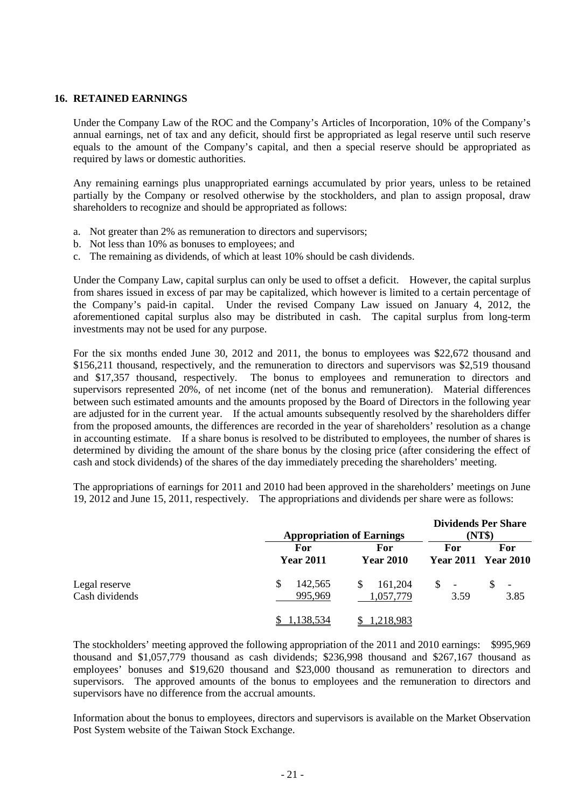#### **16. RETAINED EARNINGS**

Under the Company Law of the ROC and the Company's Articles of Incorporation, 10% of the Company's annual earnings, net of tax and any deficit, should first be appropriated as legal reserve until such reserve equals to the amount of the Company's capital, and then a special reserve should be appropriated as required by laws or domestic authorities.

Any remaining earnings plus unappropriated earnings accumulated by prior years, unless to be retained partially by the Company or resolved otherwise by the stockholders, and plan to assign proposal, draw shareholders to recognize and should be appropriated as follows:

- a. Not greater than 2% as remuneration to directors and supervisors;
- b. Not less than 10% as bonuses to employees; and
- c. The remaining as dividends, of which at least 10% should be cash dividends.

Under the Company Law, capital surplus can only be used to offset a deficit. However, the capital surplus from shares issued in excess of par may be capitalized, which however is limited to a certain percentage of the Company's paid-in capital. Under the revised Company Law issued on January 4, 2012, the aforementioned capital surplus also may be distributed in cash. The capital surplus from long-term investments may not be used for any purpose.

For the six months ended June 30, 2012 and 2011, the bonus to employees was \$22,672 thousand and \$156,211 thousand, respectively, and the remuneration to directors and supervisors was \$2,519 thousand and \$17,357 thousand, respectively. The bonus to employees and remuneration to directors and supervisors represented 20%, of net income (net of the bonus and remuneration). Material differences between such estimated amounts and the amounts proposed by the Board of Directors in the following year are adjusted for in the current year. If the actual amounts subsequently resolved by the shareholders differ from the proposed amounts, the differences are recorded in the year of shareholders' resolution as a change in accounting estimate. If a share bonus is resolved to be distributed to employees, the number of shares is determined by dividing the amount of the share bonus by the closing price (after considering the effect of cash and stock dividends) of the shares of the day immediately preceding the shareholders' meeting.

The appropriations of earnings for 2011 and 2010 had been approved in the shareholders' meetings on June 19, 2012 and June 15, 2011, respectively. The appropriations and dividends per share were as follows:

|                                 | <b>Appropriation of Earnings</b> |                            |            | <b>Dividends Per Share</b><br>(NT\$) |
|---------------------------------|----------------------------------|----------------------------|------------|--------------------------------------|
|                                 | For<br><b>Year 2011</b>          | For<br><b>Year 2010</b>    | For        | For<br><b>Year 2011 Year 2010</b>    |
| Legal reserve<br>Cash dividends | 142,565<br>\$<br>995,969         | 161,204<br>\$<br>1,057,779 | S.<br>3.59 | $\overline{\phantom{a}}$<br>3.85     |
|                                 | 1,138,534                        | 1,218,983                  |            |                                      |

The stockholders' meeting approved the following appropriation of the 2011 and 2010 earnings: \$995,969 thousand and \$1,057,779 thousand as cash dividends; \$236,998 thousand and \$267,167 thousand as employees' bonuses and \$19,620 thousand and \$23,000 thousand as remuneration to directors and supervisors. The approved amounts of the bonus to employees and the remuneration to directors and supervisors have no difference from the accrual amounts.

Information about the bonus to employees, directors and supervisors is available on the Market Observation Post System website of the Taiwan Stock Exchange.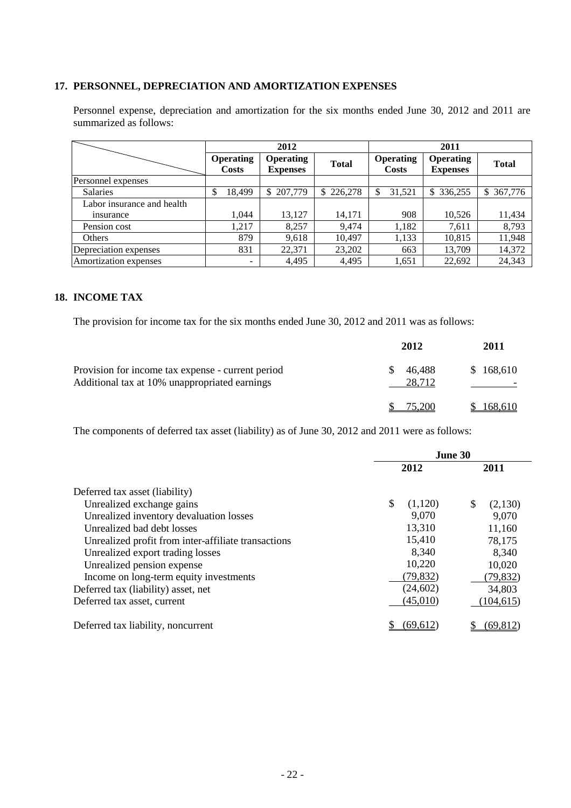## **17. PERSONNEL, DEPRECIATION AND AMORTIZATION EXPENSES**

Personnel expense, depreciation and amortization for the six months ended June 30, 2012 and 2011 are summarized as follows:

|                            | 2012                             |                                     |              | 2011                             |                                     |              |  |
|----------------------------|----------------------------------|-------------------------------------|--------------|----------------------------------|-------------------------------------|--------------|--|
|                            | <b>Operating</b><br><b>Costs</b> | <b>Operating</b><br><b>Expenses</b> | <b>Total</b> | <b>Operating</b><br><b>Costs</b> | <b>Operating</b><br><b>Expenses</b> | <b>Total</b> |  |
| Personnel expenses         |                                  |                                     |              |                                  |                                     |              |  |
| <b>Salaries</b>            | 18,499<br>\$                     | \$207,779                           | \$226,278    | 31,521                           | \$ 336,255                          | \$ 367,776   |  |
| Labor insurance and health |                                  |                                     |              |                                  |                                     |              |  |
| insurance                  | 1.044                            | 13,127                              | 14,171       | 908                              | 10,526                              | 11,434       |  |
| Pension cost               | 1,217                            | 8,257                               | 9,474        | 1,182                            | 7,611                               | 8,793        |  |
| Others                     | 879                              | 9,618                               | 10,497       | 1,133                            | 10,815                              | 11,948       |  |
| Depreciation expenses      | 831                              | 22,371                              | 23,202       | 663                              | 13,709                              | 14,372       |  |
| Amortization expenses      |                                  | 4,495                               | 4,495        | 1,651                            | 22,692                              | 24,343       |  |

## **18. INCOME TAX**

The provision for income tax for the six months ended June 30, 2012 and 2011 was as follows:

|                                                                                                    | 2012             | 2011      |
|----------------------------------------------------------------------------------------------------|------------------|-----------|
| Provision for income tax expense - current period<br>Additional tax at 10% unappropriated earnings | 46.488<br>28,712 | \$168,610 |
|                                                                                                    | 75.200           | \$168,610 |

The components of deferred tax asset (liability) as of June 30, 2012 and 2011 were as follows:

|                                                     | June 30       |               |  |
|-----------------------------------------------------|---------------|---------------|--|
|                                                     | 2012          | 2011          |  |
| Deferred tax asset (liability)                      |               |               |  |
| Unrealized exchange gains                           | \$<br>(1,120) | \$<br>(2,130) |  |
| Unrealized inventory devaluation losses             | 9,070         | 9,070         |  |
| Unrealized bad debt losses                          | 13,310        | 11,160        |  |
| Unrealized profit from inter-affiliate transactions | 15,410        | 78,175        |  |
| Unrealized export trading losses                    | 8,340         | 8,340         |  |
| Unrealized pension expense                          | 10,220        | 10,020        |  |
| Income on long-term equity investments              | (79, 832)     | (79, 832)     |  |
| Deferred tax (liability) asset, net                 | (24, 602)     | 34,803        |  |
| Deferred tax asset, current                         | (45,010)      | 104,615       |  |
| Deferred tax liability, noncurrent                  | (69, 612)     | (69, 812)     |  |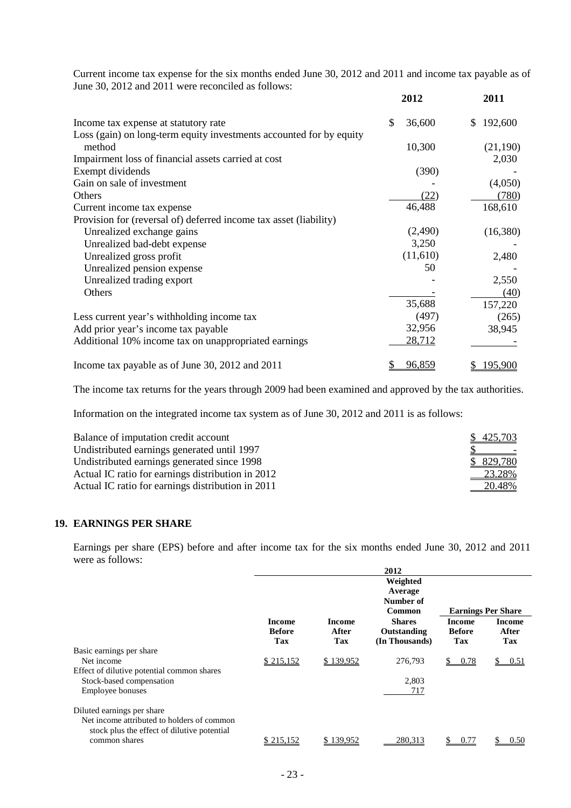Current income tax expense for the six months ended June 30, 2012 and 2011 and income tax payable as of June 30, 2012 and 2011 were reconciled as follows:

|                                                                     | 2012         | 2011          |
|---------------------------------------------------------------------|--------------|---------------|
| Income tax expense at statutory rate                                | \$<br>36,600 | \$<br>192,600 |
| Loss (gain) on long-term equity investments accounted for by equity |              |               |
| method                                                              | 10,300       | (21,190)      |
| Impairment loss of financial assets carried at cost                 |              | 2,030         |
| Exempt dividends                                                    | (390)        |               |
| Gain on sale of investment                                          |              | (4,050)       |
| <b>Others</b>                                                       | (22)         | (780)         |
| Current income tax expense                                          | 46,488       | 168,610       |
| Provision for (reversal of) deferred income tax asset (liability)   |              |               |
| Unrealized exchange gains                                           | (2,490)      | (16,380)      |
| Unrealized bad-debt expense                                         | 3,250        |               |
| Unrealized gross profit                                             | (11,610)     | 2,480         |
| Unrealized pension expense                                          | 50           |               |
| Unrealized trading export                                           |              | 2,550         |
| Others                                                              |              | (40)          |
|                                                                     | 35,688       | 157,220       |
| Less current year's withholding income tax                          | (497)        | (265)         |
| Add prior year's income tax payable                                 | 32,956       | 38,945        |
| Additional 10% income tax on unappropriated earnings                | 28,712       |               |
|                                                                     |              |               |
| Income tax payable as of June 30, 2012 and 2011                     | 96,859       | \$<br>195,900 |

The income tax returns for the years through 2009 had been examined and approved by the tax authorities.

Information on the integrated income tax system as of June 30, 2012 and 2011 is as follows:

| Balance of imputation credit account              | \$425,703                       |
|---------------------------------------------------|---------------------------------|
| Undistributed earnings generated until 1997       | the contract of the contract of |
| Undistributed earnings generated since 1998       | \$829,780                       |
| Actual IC ratio for earnings distribution in 2012 | 23.28%                          |
| Actual IC ratio for earnings distribution in 2011 | 20.48%                          |

# **19. EARNINGS PER SHARE**

Earnings per share (EPS) before and after income tax for the six months ended June 30, 2012 and 2011 were as follows:

|                                                                                           |                                       |                               | 2012                                           |                                       |                               |
|-------------------------------------------------------------------------------------------|---------------------------------------|-------------------------------|------------------------------------------------|---------------------------------------|-------------------------------|
|                                                                                           |                                       |                               | Weighted                                       |                                       |                               |
|                                                                                           |                                       |                               | Average                                        |                                       |                               |
|                                                                                           |                                       |                               | Number of                                      |                                       |                               |
|                                                                                           |                                       |                               | <b>Common</b>                                  |                                       | <b>Earnings Per Share</b>     |
|                                                                                           | <b>Income</b><br><b>Before</b><br>Tax | <b>Income</b><br>After<br>Tax | <b>Shares</b><br>Outstanding<br>(In Thousands) | <b>Income</b><br><b>Before</b><br>Tax | <b>Income</b><br>After<br>Tax |
| Basic earnings per share                                                                  |                                       |                               |                                                |                                       |                               |
| Net income                                                                                | \$215,152                             | \$139,952                     | 276,793                                        | 0.78<br>\$                            | \$.<br>0.51                   |
| Effect of dilutive potential common shares                                                |                                       |                               |                                                |                                       |                               |
| Stock-based compensation                                                                  |                                       |                               | 2,803                                          |                                       |                               |
| <b>Employee bonuses</b>                                                                   |                                       |                               | 717                                            |                                       |                               |
| Diluted earnings per share                                                                |                                       |                               |                                                |                                       |                               |
| Net income attributed to holders of common<br>stock plus the effect of dilutive potential |                                       |                               |                                                |                                       |                               |
| common shares                                                                             | \$215,152                             | \$139.952                     | 280,313                                        | 0.77                                  | 0.50                          |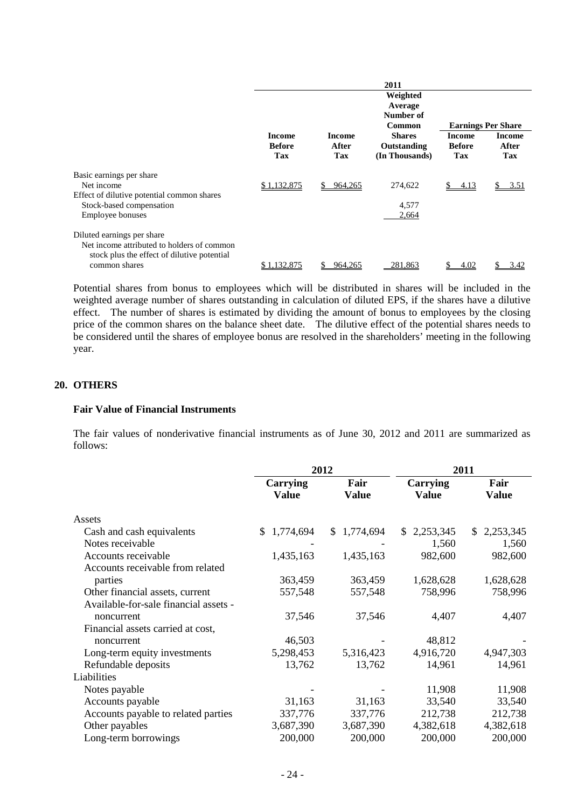|                                                                                                                                             |                                       |                               | 2011<br>Weighted<br>Average                    |                                       |                               |
|---------------------------------------------------------------------------------------------------------------------------------------------|---------------------------------------|-------------------------------|------------------------------------------------|---------------------------------------|-------------------------------|
|                                                                                                                                             |                                       |                               | Number of<br>Common                            |                                       | <b>Earnings Per Share</b>     |
|                                                                                                                                             | <b>Income</b><br><b>Before</b><br>Tax | <b>Income</b><br>After<br>Tax | <b>Shares</b><br>Outstanding<br>(In Thousands) | <b>Income</b><br><b>Before</b><br>Tax | <b>Income</b><br>After<br>Tax |
| Basic earnings per share<br>Net income<br>Effect of dilutive potential common shares<br>Stock-based compensation<br><b>Employee bonuses</b> | \$1,132,875                           | 964,265                       | 274,622<br>4,577<br>2,664                      | 4.13                                  | 3.51                          |
| Diluted earnings per share<br>Net income attributed to holders of common<br>stock plus the effect of dilutive potential<br>common shares    | \$1,132,875                           | 964.265                       | 281.863                                        | 4.02                                  | 3.42                          |

Potential shares from bonus to employees which will be distributed in shares will be included in the weighted average number of shares outstanding in calculation of diluted EPS, if the shares have a dilutive effect. The number of shares is estimated by dividing the amount of bonus to employees by the closing price of the common shares on the balance sheet date. The dilutive effect of the potential shares needs to be considered until the shares of employee bonus are resolved in the shareholders' meeting in the following year.

## **20. OTHERS**

#### **Fair Value of Financial Instruments**

The fair values of nonderivative financial instruments as of June 30, 2012 and 2011 are summarized as follows:

|                                       | 2012                     |                      | 2011                     |                      |  |
|---------------------------------------|--------------------------|----------------------|--------------------------|----------------------|--|
|                                       | Carrying<br><b>Value</b> | Fair<br><b>Value</b> | Carrying<br><b>Value</b> | Fair<br><b>Value</b> |  |
| Assets                                |                          |                      |                          |                      |  |
| Cash and cash equivalents             | 1,774,694<br>S.          | 1,774,694<br>S.      | 2,253,345<br>S.          | 2,253,345<br>\$      |  |
| Notes receivable                      |                          |                      | 1,560                    | 1,560                |  |
| Accounts receivable                   | 1,435,163                | 1,435,163            | 982,600                  | 982,600              |  |
| Accounts receivable from related      |                          |                      |                          |                      |  |
| parties                               | 363,459                  | 363,459              | 1,628,628                | 1,628,628            |  |
| Other financial assets, current       | 557,548                  | 557,548              | 758,996                  | 758,996              |  |
| Available-for-sale financial assets - |                          |                      |                          |                      |  |
| noncurrent                            | 37,546                   | 37,546               | 4,407                    | 4,407                |  |
| Financial assets carried at cost,     |                          |                      |                          |                      |  |
| noncurrent                            | 46,503                   |                      | 48,812                   |                      |  |
| Long-term equity investments          | 5,298,453                | 5,316,423            | 4,916,720                | 4,947,303            |  |
| Refundable deposits                   | 13,762                   | 13,762               | 14,961                   | 14,961               |  |
| Liabilities                           |                          |                      |                          |                      |  |
| Notes payable                         |                          |                      | 11,908                   | 11,908               |  |
| Accounts payable                      | 31,163                   | 31,163               | 33,540                   | 33,540               |  |
| Accounts payable to related parties   | 337,776                  | 337,776              | 212,738                  | 212,738              |  |
| Other payables                        | 3,687,390                | 3,687,390            | 4,382,618                | 4,382,618            |  |
| Long-term borrowings                  | 200,000                  | 200,000              | 200,000                  | 200,000              |  |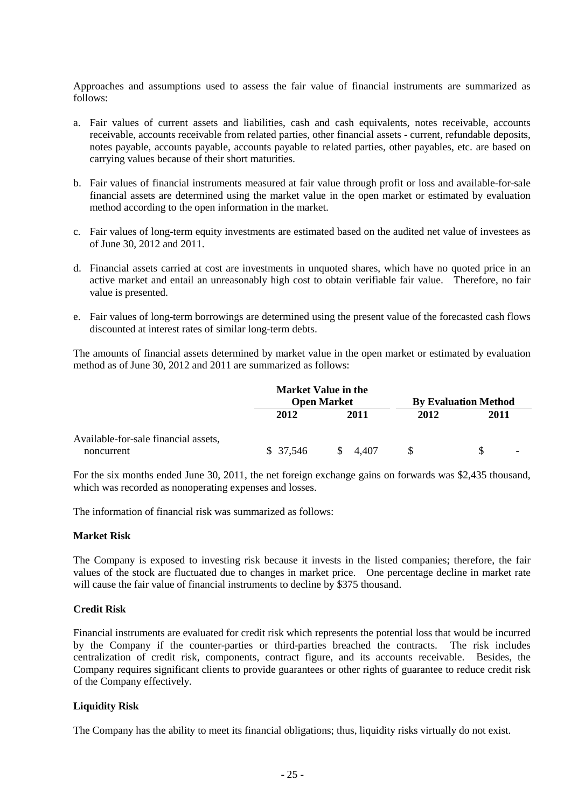Approaches and assumptions used to assess the fair value of financial instruments are summarized as follows:

- a. Fair values of current assets and liabilities, cash and cash equivalents, notes receivable, accounts receivable, accounts receivable from related parties, other financial assets - current, refundable deposits, notes payable, accounts payable, accounts payable to related parties, other payables, etc. are based on carrying values because of their short maturities.
- b. Fair values of financial instruments measured at fair value through profit or loss and available-for-sale financial assets are determined using the market value in the open market or estimated by evaluation method according to the open information in the market.
- c. Fair values of long-term equity investments are estimated based on the audited net value of investees as of June 30, 2012 and 2011.
- d. Financial assets carried at cost are investments in unquoted shares, which have no quoted price in an active market and entail an unreasonably high cost to obtain verifiable fair value. Therefore, no fair value is presented.
- e. Fair values of long-term borrowings are determined using the present value of the forecasted cash flows discounted at interest rates of similar long-term debts.

The amounts of financial assets determined by market value in the open market or estimated by evaluation method as of June 30, 2012 and 2011 are summarized as follows:

|                                                    |          | <b>Market Value in the</b><br><b>Open Market</b> |      | <b>By Evaluation Method</b> |
|----------------------------------------------------|----------|--------------------------------------------------|------|-----------------------------|
|                                                    | 2012     | 2011                                             | 2012 | 2011                        |
| Available-for-sale financial assets,<br>noncurrent | \$37,546 | \$ 4.407                                         |      | $\overline{\phantom{0}}$    |

For the six months ended June 30, 2011, the net foreign exchange gains on forwards was \$2,435 thousand, which was recorded as nonoperating expenses and losses.

The information of financial risk was summarized as follows:

#### **Market Risk**

The Company is exposed to investing risk because it invests in the listed companies; therefore, the fair values of the stock are fluctuated due to changes in market price. One percentage decline in market rate will cause the fair value of financial instruments to decline by \$375 thousand.

#### **Credit Risk**

Financial instruments are evaluated for credit risk which represents the potential loss that would be incurred by the Company if the counter-parties or third-parties breached the contracts. The risk includes centralization of credit risk, components, contract figure, and its accounts receivable. Besides, the Company requires significant clients to provide guarantees or other rights of guarantee to reduce credit risk of the Company effectively.

#### **Liquidity Risk**

The Company has the ability to meet its financial obligations; thus, liquidity risks virtually do not exist.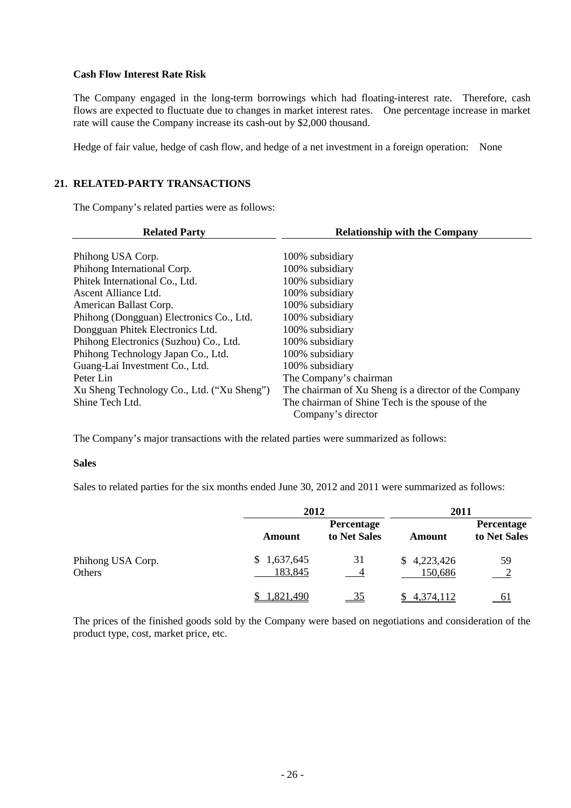#### **Cash Flow Interest Rate Risk**

The Company engaged in the long-term borrowings which had floating-interest rate. Therefore, cash flows are expected to fluctuate due to changes in market interest rates. One percentage increase in market rate will cause the Company increase its cash-out by \$2,000 thousand.

Hedge of fair value, hedge of cash flow, and hedge of a net investment in a foreign operation: None

# **21. RELATED-PARTY TRANSACTIONS**

The Company's related parties were as follows:

| <b>Related Party</b>                       | <b>Relationship with the Company</b>                  |
|--------------------------------------------|-------------------------------------------------------|
|                                            |                                                       |
| Phihong USA Corp.                          | 100% subsidiary                                       |
| Phihong International Corp.                | 100% subsidiary                                       |
| Phitek International Co., Ltd.             | 100% subsidiary                                       |
| Ascent Alliance Ltd.                       | 100% subsidiary                                       |
| American Ballast Corp.                     | 100% subsidiary                                       |
| Phihong (Dongguan) Electronics Co., Ltd.   | 100% subsidiary                                       |
| Dongguan Phitek Electronics Ltd.           | 100% subsidiary                                       |
| Phihong Electronics (Suzhou) Co., Ltd.     | 100% subsidiary                                       |
| Phihong Technology Japan Co., Ltd.         | 100% subsidiary                                       |
| Guang-Lai Investment Co., Ltd.             | 100% subsidiary                                       |
| Peter Lin                                  | The Company's chairman                                |
| Xu Sheng Technology Co., Ltd. ("Xu Sheng") | The chairman of Xu Sheng is a director of the Company |
| Shine Tech Ltd.                            | The chairman of Shine Tech is the spouse of the       |
|                                            | Company's director                                    |

The Company's major transactions with the related parties were summarized as follows:

#### **Sales**

Sales to related parties for the six months ended June 30, 2012 and 2011 were summarized as follows:

|                   |             | 2012                              |                  | 2011                              |
|-------------------|-------------|-----------------------------------|------------------|-----------------------------------|
|                   | Amount      | <b>Percentage</b><br>to Net Sales | <b>Amount</b>    | <b>Percentage</b><br>to Net Sales |
| Phihong USA Corp. | \$1,637,645 | 31                                | \$4,223,426      | 59                                |
| Others            | 183,845     |                                   | 150,686          |                                   |
|                   | ,821,490    | $-35$                             | <u>4,374,112</u> | $\underline{61}$                  |

The prices of the finished goods sold by the Company were based on negotiations and consideration of the product type, cost, market price, etc.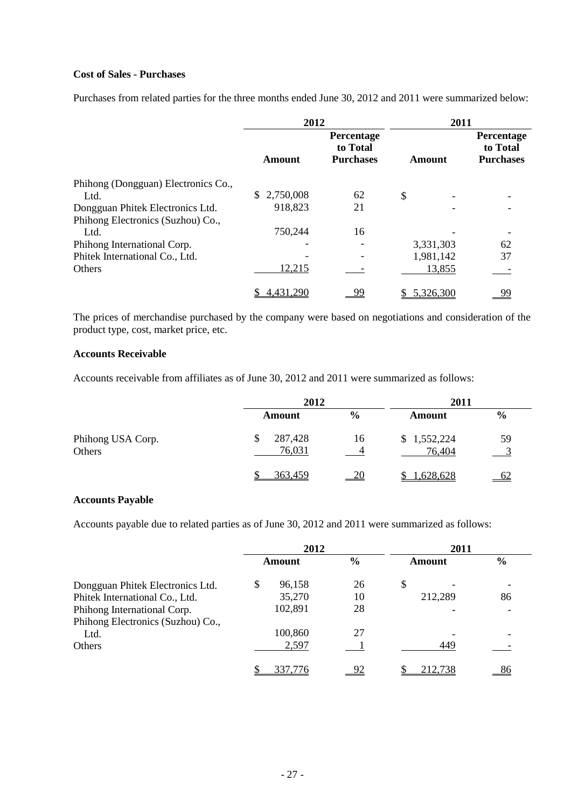# **Cost of Sales - Purchases**

Purchases from related parties for the three months ended June 30, 2012 and 2011 were summarized below:

|                                     | 2012            |                                            | 2011      |                                                   |
|-------------------------------------|-----------------|--------------------------------------------|-----------|---------------------------------------------------|
|                                     | Amount          | Percentage<br>to Total<br><b>Purchases</b> | Amount    | <b>Percentage</b><br>to Total<br><b>Purchases</b> |
| Phihong (Dongguan) Electronics Co., |                 |                                            |           |                                                   |
| Ltd.                                | 2,750,008<br>S. | 62                                         | \$        |                                                   |
| Dongguan Phitek Electronics Ltd.    | 918,823         | 21                                         |           |                                                   |
| Phihong Electronics (Suzhou) Co.,   |                 |                                            |           |                                                   |
| Ltd.                                | 750,244         | 16                                         |           |                                                   |
| Phihong International Corp.         |                 |                                            | 3,331,303 | 62                                                |
| Phitek International Co., Ltd.      |                 |                                            | 1,981,142 | 37                                                |
| Others                              | 12,215          |                                            | 13,855    |                                                   |
|                                     | .431.290        | <u>99</u>                                  | 5,326,300 | <u>99</u>                                         |

The prices of merchandise purchased by the company were based on negotiations and consideration of the product type, cost, market price, etc.

## **Accounts Receivable**

Accounts receivable from affiliates as of June 30, 2012 and 2011 were summarized as follows:

|                             |                   | 2012          | 2011                  |               |
|-----------------------------|-------------------|---------------|-----------------------|---------------|
|                             | <b>Amount</b>     | $\frac{6}{9}$ | <b>Amount</b>         | $\frac{6}{9}$ |
| Phihong USA Corp.<br>Others | 287,428<br>76,031 | 16            | \$1,552,224<br>76,404 | 59            |
|                             | 363,459           | 20            | .628,628              | 62            |

# **Accounts Payable**

Accounts payable due to related parties as of June 30, 2012 and 2011 were summarized as follows:

|                                   | 2012   |         |               | 2011   |         |               |
|-----------------------------------|--------|---------|---------------|--------|---------|---------------|
|                                   | Amount |         | $\frac{6}{9}$ | Amount |         | $\frac{0}{0}$ |
| Dongguan Phitek Electronics Ltd.  | S      | 96,158  | 26            | \$     |         |               |
| Phitek International Co., Ltd.    |        | 35,270  | 10            |        | 212,289 | 86            |
| Phihong International Corp.       |        | 102,891 | 28            |        |         |               |
| Phihong Electronics (Suzhou) Co., |        |         |               |        |         |               |
| Ltd.                              |        | 100,860 | 27            |        |         |               |
| Others                            |        | 2,597   |               |        | 449     |               |
|                                   |        | 337.776 |               |        | 212,738 |               |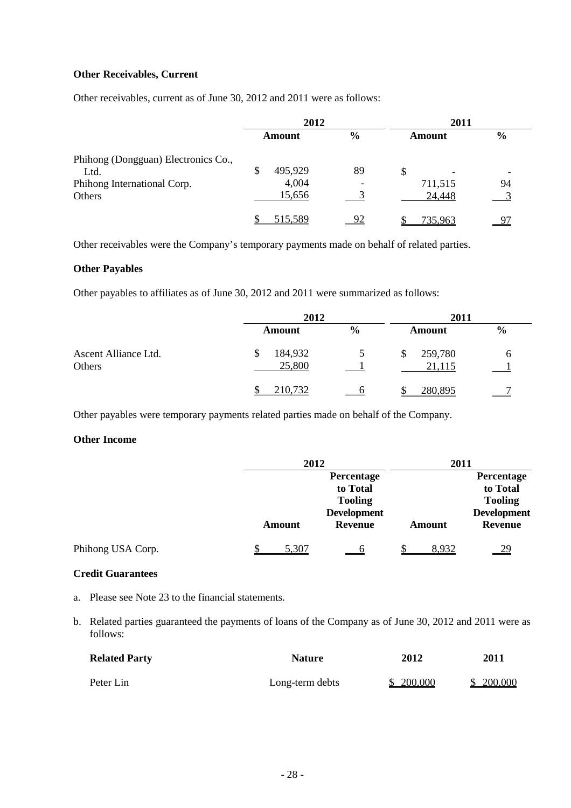# **Other Receivables, Current**

Other receivables, current as of June 30, 2012 and 2011 were as follows:

|                                     | 2012          |         |                          | 2011   |         |               |
|-------------------------------------|---------------|---------|--------------------------|--------|---------|---------------|
|                                     | <b>Amount</b> |         | $\frac{6}{9}$            | Amount |         | $\frac{6}{9}$ |
| Phihong (Dongguan) Electronics Co., |               |         |                          |        |         |               |
| Ltd.                                | \$            | 495,929 | 89                       | S      |         |               |
| Phihong International Corp.         |               | 4,004   | $\overline{\phantom{0}}$ |        | 711,515 | 94            |
| Others                              |               | 15,656  |                          |        | 24,448  |               |
|                                     |               | 515,589 | $\Omega$                 |        | 735,963 |               |

Other receivables were the Company's temporary payments made on behalf of related parties.

#### **Other Payables**

Other payables to affiliates as of June 30, 2012 and 2011 were summarized as follows:

|                                | 2012                    | 2011          |                         |               |  |
|--------------------------------|-------------------------|---------------|-------------------------|---------------|--|
|                                | <b>Amount</b>           | $\frac{0}{0}$ | <b>Amount</b>           | $\frac{6}{9}$ |  |
| Ascent Alliance Ltd.<br>Others | 184,932<br>\$<br>25,800 |               | 259,780<br>\$<br>21,115 | O             |  |
|                                | 210,732                 |               | 280,895                 |               |  |

Other payables were temporary payments related parties made on behalf of the Company.

#### **Other Income**

|                   | 2012           |                    |  | 2011          |                    |  |
|-------------------|----------------|--------------------|--|---------------|--------------------|--|
|                   |                | Percentage         |  |               | Percentage         |  |
|                   |                | to Total           |  |               | to Total           |  |
|                   | <b>Tooling</b> |                    |  |               | <b>Tooling</b>     |  |
|                   |                | <b>Development</b> |  |               | <b>Development</b> |  |
|                   | <b>Amount</b>  | <b>Revenue</b>     |  | <b>Amount</b> | <b>Revenue</b>     |  |
| Phihong USA Corp. | 5,307          |                    |  | 8,932         | <u>29</u>          |  |

## **Credit Guarantees**

- a. Please see Note 23 to the financial statements.
- b. Related parties guaranteed the payments of loans of the Company as of June 30, 2012 and 2011 were as follows:

| <b>Related Party</b> | <b>Nature</b>   | 2012      | 2011      |  |
|----------------------|-----------------|-----------|-----------|--|
| Peter Lin            | Long-term debts | \$200,000 | \$200,000 |  |